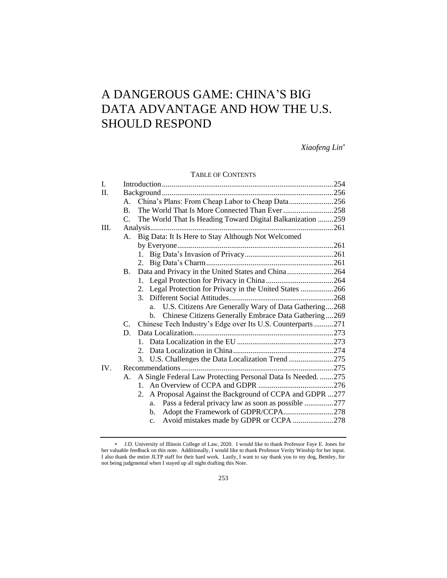# A DANGEROUS GAME: CHINA'S BIG DATA ADVANTAGE AND HOW THE U.S. SHOULD RESPOND

*Xiaofeng Lin*

# TABLE OF CONTENTS

| Ι.      |                                                                  |                                                              |  |  |  |  |  |
|---------|------------------------------------------------------------------|--------------------------------------------------------------|--|--|--|--|--|
| $\Pi$ . |                                                                  |                                                              |  |  |  |  |  |
|         | А.                                                               | China's Plans: From Cheap Labor to Cheap Data256             |  |  |  |  |  |
|         | <b>B.</b>                                                        | The World That Is More Connected Than Ever 258               |  |  |  |  |  |
|         | The World That Is Heading Toward Digital Balkanization 259<br>C. |                                                              |  |  |  |  |  |
| III.    |                                                                  |                                                              |  |  |  |  |  |
|         | A.                                                               | Big Data: It Is Here to Stay Although Not Welcomed           |  |  |  |  |  |
|         |                                                                  |                                                              |  |  |  |  |  |
|         |                                                                  |                                                              |  |  |  |  |  |
|         |                                                                  | 2.                                                           |  |  |  |  |  |
|         | <b>B.</b>                                                        | Data and Privacy in the United States and China264           |  |  |  |  |  |
|         |                                                                  | 1.                                                           |  |  |  |  |  |
|         |                                                                  | 2. Legal Protection for Privacy in the United States 266     |  |  |  |  |  |
|         |                                                                  |                                                              |  |  |  |  |  |
|         |                                                                  | U.S. Citizens Are Generally Wary of Data Gathering268<br>a.  |  |  |  |  |  |
|         |                                                                  | Chinese Citizens Generally Embrace Data Gathering269<br>b.   |  |  |  |  |  |
|         | $C_{\cdot}$                                                      | Chinese Tech Industry's Edge over Its U.S. Counterparts 271  |  |  |  |  |  |
|         | D.                                                               |                                                              |  |  |  |  |  |
|         |                                                                  |                                                              |  |  |  |  |  |
|         |                                                                  | $2_{1}$                                                      |  |  |  |  |  |
|         |                                                                  | U.S. Challenges the Data Localization Trend 275<br>3.        |  |  |  |  |  |
| IV.     |                                                                  |                                                              |  |  |  |  |  |
|         | А.                                                               | A Single Federal Law Protecting Personal Data Is Needed. 275 |  |  |  |  |  |
|         |                                                                  |                                                              |  |  |  |  |  |
|         |                                                                  | 2. A Proposal Against the Background of CCPA and GDPR 277    |  |  |  |  |  |
|         |                                                                  | Pass a federal privacy law as soon as possible 277<br>a.     |  |  |  |  |  |
|         |                                                                  | Adopt the Framework of GDPR/CCPA278<br>b.                    |  |  |  |  |  |
|         |                                                                  | Avoid mistakes made by GDPR or CCPA 278<br>$\mathbf{c}$ .    |  |  |  |  |  |

J.D. University of Illinois College of Law, 2020. I would like to thank Professor Faye E. Jones for her valuable feedback on this note. Additionally, I would like to thank Professor Verity Winship for her input. I also thank the entire JLTP staff for their hard work. Lastly, I want to say thank you to my dog, Bentley, for not being judgmental when I stayed up all night drafting this Note.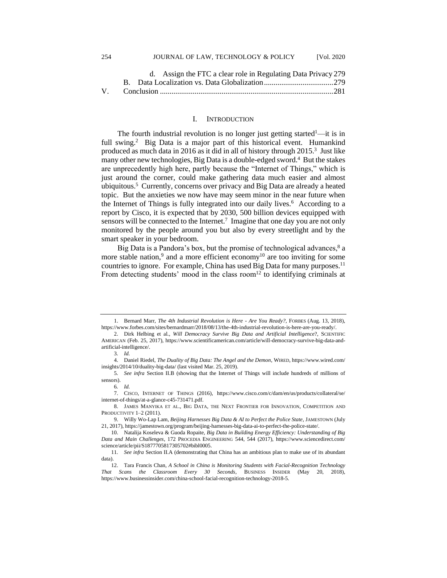|  | d. Assign the FTC a clear role in Regulating Data Privacy 279 |  |  |  |
|--|---------------------------------------------------------------|--|--|--|
|  |                                                               |  |  |  |
|  |                                                               |  |  |  |

#### I. INTRODUCTION

The fourth industrial revolution is no longer just getting started<sup>1</sup>—it is in full swing.<sup>2</sup> Big Data is a major part of this historical event. Humankind produced as much data in 2016 as it did in all of history through 2015.<sup>3</sup> Just like many other new technologies, Big Data is a double-edged sword.<sup>4</sup> But the stakes are unprecedently high here, partly because the "Internet of Things," which is just around the corner, could make gathering data much easier and almost ubiquitous.<sup>5</sup> Currently, concerns over privacy and Big Data are already a heated topic. But the anxieties we now have may seem minor in the near future when the Internet of Things is fully integrated into our daily lives.<sup>6</sup> According to a report by Cisco, it is expected that by 2030, 500 billion devices equipped with sensors will be connected to the Internet.<sup>7</sup> Imagine that one day you are not only monitored by the people around you but also by every streetlight and by the smart speaker in your bedroom.

Big Data is a Pandora's box, but the promise of technological advances, $8$  a more stable nation,<sup>9</sup> and a more efficient economy<sup>10</sup> are too inviting for some countries to ignore. For example, China has used Big Data for many purposes.<sup>11</sup> From detecting students' mood in the class room<sup>12</sup> to identifying criminals at

<sup>1.</sup> Bernard Marr, *The 4th Industrial Revolution is Here - Are You Ready?*, FORBES (Aug. 13, 2018), https://www.forbes.com/sites/bernardmarr/2018/08/13/the-4th-industrial-revolution-is-here-are-you-ready/.

<sup>2.</sup> Dirk Helbing et al., *Will Democracy Survive Big Data and Artificial Intelligence*?, SCIENTIFIC AMERICAN (Feb. 25, 2017), https://www.scientificamerican.com/article/will-democracy-survive-big-data-andartificial-intelligence/.

<sup>3</sup>*. Id.*

<sup>4.</sup> Daniel Riedel, *The Duality of Big Data: The Angel and the Demon*, WIRED, https://www.wired.com/ insights/2014/10/duality-big-data/ (last visited Mar. 25, 2019).

<sup>5</sup>*. See infra* Section II.B (showing that the Internet of Things will include hundreds of millions of sensors).

<sup>6</sup>*. Id.*

<sup>7.</sup> CISCO, INTERNET OF THINGS (2016), https://www.cisco.com/c/dam/en/us/products/collateral/se/ internet-of-things/at-a-glance-c45-731471.pdf.

<sup>8.</sup> JAMES MANYIKA ET AL., BIG DATA, THE NEXT FRONTIER FOR INNOVATION, COMPETITION AND PRODUCTIVITY 1–2 (2011).

<sup>9.</sup> Willy Wo-Lap Lam, *Beijing Harnesses Big Data & AI to Perfect the Police State*, JAMESTOWN (July 21, 2017), https://jamestown.org/program/beijing-harnesses-big-data-ai-to-perfect-the-police-state/.

<sup>10.</sup> Natalija Koseleva & Guoda Ropaite, *Big Data in Building Energy Efficiency: Understanding of Big Data and Main Challenges*, 172 PROCEDIA ENGINEERING 544, 544 (2017), https://www.sciencedirect.com/ science/article/pii/S1877705817305702#bibl0005.

<sup>11</sup>*. See infra* Section II.A (demonstrating that China has an ambitious plan to make use of its abundant data).

<sup>12.</sup> Tara Francis Chan, *A School in China is Monitoring Students with Facial-Recognition Technology That Scans the Classroom Every 30 Seconds*, BUSINESS INSIDER (May 20, 2018), https://www.businessinsider.com/china-school-facial-recognition-technology-2018-5.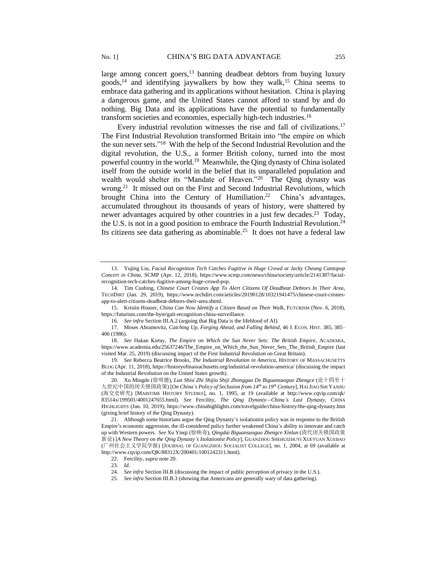large among concert goers, $13$  banning deadbeat debtors from buying luxury goods,<sup>14</sup> and identifying jaywalkers by how they walk,<sup>15</sup> China seems to embrace data gathering and its applications without hesitation. China is playing a dangerous game, and the United States cannot afford to stand by and do nothing. Big Data and its applications have the potential to fundamentally transform societies and economies, especially high-tech industries.<sup>16</sup>

Every industrial revolution witnesses the rise and fall of civilizations.<sup>17</sup> The First Industrial Revolution transformed Britain into "the empire on which the sun never sets." 18 With the help of the Second Industrial Revolution and the digital revolution, the U.S., a former British colony, turned into the most powerful country in the world.<sup>19</sup> Meanwhile, the Qing dynasty of China isolated itself from the outside world in the belief that its unparalleled population and wealth would shelter its "Mandate of Heaven."<sup>20</sup> The Qing dynasty was wrong.<sup>21</sup> It missed out on the First and Second Industrial Revolutions, which brought China into the Century of Humiliation.<sup>22</sup> China's advantages, accumulated throughout its thousands of years of history, were shattered by newer advantages acquired by other countries in a just few decades.<sup>23</sup> Today, the U.S. is not in a good position to embrace the Fourth Industrial Revolution.<sup>24</sup> Its citizens see data gathering as abominable.<sup>25</sup> It does not have a federal law

<sup>13.</sup> Yujing Liu, *Facial Recognition Tech Catches Fugitive in Huge Crowd at Jacky Cheung Cantopop Concert in China*, SCMP (Apr. 12, 2018), https://www.scmp.com/news/china/society/article/2141387/facialrecognition-tech-catches-fugitive-among-huge-crowd-pop.

<sup>14.</sup> Tim Cushing, *Chinese Court Creates App To Alert Citizens Of Deadbeat Debtors In Their Area*, TECHDIRT (Jan. 29, 2019), https://www.techdirt.com/articles/20190128/10321941475/chinese-court-createsapp-to-alert-citizens-deadbeat-debtors-their-area.shtml.

<sup>15.</sup> Kristin Houser, *China Can Now Identify a Citizen Based on Their Walk*, FUTURISM (Nov. 6, 2018), https://futurism.com/the-byte/gait-recognition-china-surveillance.

<sup>16</sup>*. See infra* Section III.A.2 (arguing that Big Data is the lifeblood of AI).

<sup>17.</sup> Moses Abramovitz, *Catching Up, Forging Ahead, and Falling Behind*, 46 J. ECON. HIST. 385, 385– 406 (1986).

<sup>18</sup>*. See* Hakan Kırtay, *The Empire on Which the Sun Never Sets: The British Empire*, ACADEMIA, https://www.academia.edu/25637246/The\_Empire\_on\_Which\_the\_Sun\_Never\_Sets\_The\_British\_Empire (last visited Mar. 25, 2019) (discussing impact of the First Industrial Revolution on Great Britain).

<sup>19</sup>*. See* Rebecca Beatrice Brooks, *The Industrial Revolution in America*, HISTORY OF MASSACHUSETTS BLOG (Apr. 11, 2018), https://historyofmassachusetts.org/industrial-revolution-america/ (discussing the impact of the Industrial Revolution on the United States growth).

<sup>20.</sup> Xu Mingde (徐明德), *Lun Shisi Zhi Shijiu Shiji Zhongguo De Biguansuoguo Zhengce* (论十四至十 九世纪中国的闭关锁国政策) [*On China's Policy of Seclusion from 14th to 19th Century*], HAI JIAO SHI YANJIU (海交史研究) [MARITIME HISTORY STUDIES], no. 1, 1995, at 19 (available at http://www.cqvip.com/qk/ 83514x/199501/4001247655.html). *See* Fercility, *The Qing Dynasty—China's Last Dynasty*, CHINA HIGHLIGHTS (Jan. 10, 2019), https://www.chinahighlights.com/travelguide/china-history/the-qing-dynasty.htm (giving brief history of the Qing Dynasty).

<sup>21.</sup> Although some historians argue the Qing Dynasty's isolationist policy was in response to the British Empire's economic aggression, the ill-considered policy further weakened China's ability to innovate and catch up with Western powers. *See* Xu Yinqi (徐映奇), *Qingdai Biguansuoguo Zhengce Xinlun* (清代闭关锁国政策 新论) [*A New Theory on the Qing Dynasty's Isolationist Policy*], GUANZHOU SHEHUIZHUYI XUEYUAN XUEBAO (广州社会主义学院学报) [JOURNAL OF GUANGZHOU SOCIALIST COLLEGE], no. 1, 2004, at 69 (available at http://www.cqvip.com/QK/88312X/200401/1001242311.html).

<sup>22.</sup> Fercility, *supra* note 20.

<sup>23</sup>*. Id.*

<sup>24</sup>*. See infra* Section III.B (discussing the impact of public perception of privacy in the U.S.).

<sup>25.</sup> *See infra* Section III.B.3 (showing that Americans are generally wary of data gathering).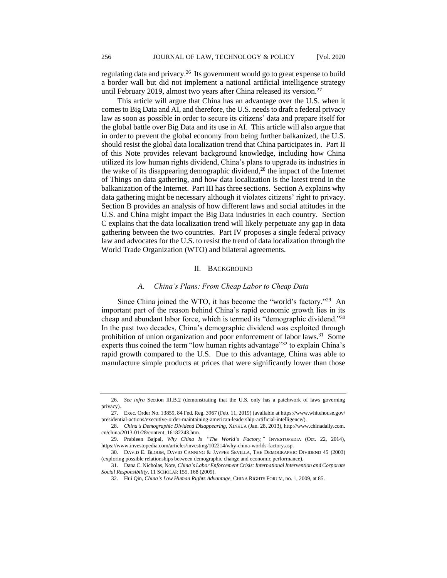regulating data and privacy.<sup>26</sup> Its government would go to great expense to build a border wall but did not implement a national artificial intelligence strategy until February 2019, almost two years after China released its version.<sup>27</sup>

This article will argue that China has an advantage over the U.S. when it comes to Big Data and AI, and therefore, the U.S. needs to draft a federal privacy law as soon as possible in order to secure its citizens' data and prepare itself for the global battle over Big Data and its use in AI. This article will also argue that in order to prevent the global economy from being further balkanized, the U.S. should resist the global data localization trend that China participates in. Part II of this Note provides relevant background knowledge, including how China utilized its low human rights dividend, China's plans to upgrade its industries in the wake of its disappearing demographic dividend, $2<sup>8</sup>$  the impact of the Internet of Things on data gathering, and how data localization is the latest trend in the balkanization of the Internet. Part III has three sections. Section A explains why data gathering might be necessary although it violates citizens' right to privacy. Section B provides an analysis of how different laws and social attitudes in the U.S. and China might impact the Big Data industries in each country. Section C explains that the data localization trend will likely perpetuate any gap in data gathering between the two countries. Part IV proposes a single federal privacy law and advocates for the U.S. to resist the trend of data localization through the World Trade Organization (WTO) and bilateral agreements.

## II. BACKGROUND

#### *A. China's Plans: From Cheap Labor to Cheap Data*

Since China joined the WTO, it has become the "world's factory."<sup>29</sup> An important part of the reason behind China's rapid economic growth lies in its cheap and abundant labor force, which is termed its "demographic dividend."30 In the past two decades, China's demographic dividend was exploited through prohibition of union organization and poor enforcement of labor laws.<sup>31</sup> Some experts thus coined the term "low human rights advantage"<sup>32</sup> to explain China's rapid growth compared to the U.S. Due to this advantage, China was able to manufacture simple products at prices that were significantly lower than those

<sup>26.</sup> *See infra* Section III.B.2 (demonstrating that the U.S. only has a patchwork of laws governing privacy).

<sup>27.</sup> Exec. Order No. 13859, 84 Fed. Reg. 3967 (Feb. 11, 2019) (available at https://www.whitehouse.gov/ presidential-actions/executive-order-maintaining-american-leadership-artificial-intelligence/).

<sup>28</sup>*. China's Demographic Dividend Disappearing*, XINHUA (Jan. 28, 2013), http://www.chinadaily.com. cn/china/2013-01/28/content\_16182243.htm.

<sup>29.</sup> Prableen Bajpai, *Why China Is "The World's Factory,"* INVESTOPEDIA (Oct. 22, 2014), https://www.investopedia.com/articles/investing/102214/why-china-worlds-factory.asp.

<sup>30.</sup> DAVID E. BLOOM, DAVID CANNING & JAYPEE SEVILLA, THE DEMOGRAPHIC DIVIDEND 45 (2003) (exploring possible relationships between demographic change and economic performance).

<sup>31.</sup> Dana C. Nicholas, Note, *China's Labor Enforcement Crisis: International Intervention and Corporate Social Responsibility*, 11 SCHOLAR 155, 168 (2009).

<sup>32.</sup> Hui Qin, *China's Low Human Rights Advantage*, CHINA RIGHTS FORUM, no. 1, 2009, at 85.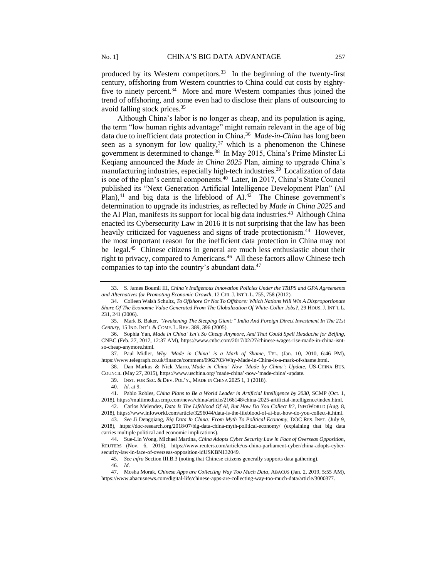produced by its Western competitors.<sup>33</sup> In the beginning of the twenty-first century, offshoring from Western countries to China could cut costs by eightyfive to ninety percent.<sup>34</sup> More and more Western companies thus joined the trend of offshoring, and some even had to disclose their plans of outsourcing to avoid falling stock prices.<sup>35</sup>

Although China's labor is no longer as cheap, and its population is aging, the term "low human rights advantage" might remain relevant in the age of big data due to inefficient data protection in China.<sup>36</sup> Made-in-China has long been seen as a synonym for low quality,  $37$  which is a phenomenon the Chinese government is determined to change.<sup>38</sup> In May 2015, China's Prime Minster Li Keqiang announced the *Made in China 2025* Plan, aiming to upgrade China's manufacturing industries, especially high-tech industries.<sup>39</sup> Localization of data is one of the plan's central components.<sup>40</sup> Later, in 2017, China's State Council published its "Next Generation Artificial Intelligence Development Plan" (AI Plan), $41$  and big data is the lifeblood of AI. $42$  The Chinese government's determination to upgrade its industries, as reflected by *Made in China 2025* and the AI Plan, manifests its support for local big data industries.<sup>43</sup> Although China enacted its Cybersecurity Law in 2016 it is not surprising that the law has been heavily criticized for vagueness and signs of trade protectionism.<sup>44</sup> However, the most important reason for the inefficient data protection in China may not be legal.<sup>45</sup> Chinese citizens in general are much less enthusiastic about their right to privacy, compared to Americans.<sup>46</sup> All these factors allow Chinese tech companies to tap into the country's abundant data.<sup>47</sup>

39. INST. FOR SEC. & DEV. POL'Y., MADE IN CHINA 2025 1, 1 (2018).

44. Sue-Lin Wong, Michael Martina, *China Adopts Cyber Security Law in Face of Overseas Opposition*, REUTERS (Nov. 6, 2016), https://www.reuters.com/article/us-china-parliament-cyber/china-adopts-cybersecurity-law-in-face-of-overseas-opposition-idUSKBN132049.

45*. See infra* Section III.B.3 (noting that Chinese citizens generally supports data gathering).

<sup>33.</sup> S. James Boumil III, *China's Indigenous Innovation Policies Under the TRIPS and GPA Agreements and Alternatives for Promoting Economic Growth*, 12 CHI.J. INT'L L. 755, 758 (2012).

<sup>34.</sup> Colleen Walsh Schultz, *To Offshore Or Not To Offshore: Which Nations Will Win A Disproportionate Share Of The Economic Value Generated From The Globalization Of White-Collar Jobs?*, 29 HOUS.J. INT'L L. 231, 241 (2006).

<sup>35.</sup> Mark B. Baker, *"Awakening The Sleeping Giant:" India And Foreign Direct Investment In The 21st Century*, 15 IND. INT'L & COMP. L. REV. 389, 396 (2005).

<sup>36.</sup> Sophia Yan, *Made in China' Isn't So Cheap Anymore, And That Could Spell Headache for Beijing*, CNBC (Feb. 27, 2017, 12:37 AM), https://www.cnbc.com/2017/02/27/chinese-wages-rise-made-in-china-isntso-cheap-anymore.html.

<sup>37.</sup> Paul Midler, *Why 'Made in China' is a Mark of Shame*, TEL. (Jan. 10, 2010, 6:46 PM), https://www.telegraph.co.uk/finance/comment/6962703/Why-Made-in-China-is-a-mark-of-shame.html.

<sup>38.</sup> Dan Markus & Nick Marro,*'Made in China' Now 'Made by China': Update*, US-CHINA BUS. COUNCIL (May 27, 2015), https://www.uschina.org/'made-china'-now-'made-china'-update.

<sup>40</sup>*. Id.* at 9.

<sup>41.</sup> Pablo Robles, C*hina Plans to Be a World Leader in Artificial Intelligence by 2030*, SCMP (Oct. 1, 2018), https://multimedia.scmp.com/news/china/article/2166148/china-2025-artificial-intelligence/index.html.

<sup>42.</sup> Carlos Melendez, *Data Is The Lifeblood Of AI, But How Do You Collect It?,* INFOWORLD (Aug. 8, 2018), https://www.infoworld.com/article/3296044/data-is-the-lifeblood-of-ai-but-how-do-you-collect-it.html.

<sup>43</sup>*. See* Ji Dengqiang, *Big Data In China: From Myth To Political Economy*, DOC RES. INST. (July 9, 2018), https://doc-research.org/2018/07/big-data-china-myth-political-economy/ (explaining that big data carries multiple political and economic implications).

<sup>46</sup>*. Id.*

<sup>47.</sup> Mosha Morak, *Chinese Apps are Collecting Way Too Much Data*, ABACUS (Jan. 2, 2019, 5:55 AM), https://www.abacusnews.com/digital-life/chinese-apps-are-collecting-way-too-much-data/article/3000377.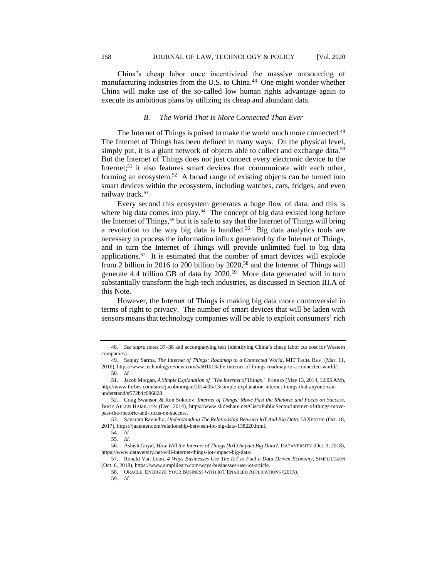China's cheap labor once incentivized the massive outsourcing of manufacturing industries from the U.S. to China.<sup>48</sup> One might wonder whether China will make use of the so-called low human rights advantage again to execute its ambitious plans by utilizing its cheap and abundant data.

# *B. The World That Is More Connected Than Ever*

The Internet of Things is poised to make the world much more connected.<sup>49</sup> The Internet of Things has been defined in many ways. On the physical level, simply put, it is a giant network of objects able to collect and exchange data.<sup>50</sup> But the Internet of Things does not just connect every electronic device to the Internet;<sup>51</sup> it also features smart devices that communicate with each other, forming an ecosystem.<sup>52</sup> A broad range of existing objects can be turned into smart devices within the ecosystem, including watches, cars, fridges, and even railway track.<sup>53</sup>

Every second this ecosystem generates a huge flow of data, and this is where big data comes into play.<sup>54</sup> The concept of big data existed long before the Internet of Things,<sup>55</sup> but it is safe to say that the Internet of Things will bring a revolution to the way big data is handled.<sup>56</sup> Big data analytics tools are necessary to process the information influx generated by the Internet of Things, and in turn the Internet of Things will provide unlimited fuel to big data applications.<sup>57</sup> It is estimated that the number of smart devices will explode from 2 billion in 2016 to 200 billion by 2020,<sup>58</sup> and the Internet of Things will generate 4.4 trillion GB of data by 2020.<sup>59</sup> More data generated will in turn substantially transform the high-tech industries, as discussed in Section III.A of this Note.

However, the Internet of Things is making big data more controversial in terms of right to privacy. The number of smart devices that will be laden with sensors means that technology companies will be able to exploit consumers' rich

<sup>48</sup>*. See supra* notes 37–38 and accompanying text (identifying China's cheap labor cut cost for Western companies).

<sup>49.</sup> Sanjay Sarma, *The Internet of Things: Roadmap to a Connected World*, MIT TECH. REV. (Mar. 11, 2016), https://www.technologyreview.com/s/601013/the-internet-of-things-roadmap-to-a-connected-world/. 50*. Id.*

<sup>51.</sup> Jacob Morgan, *A Simple Explanation of "The Internet of Things,"* FORBES (May 13, 2014, 12:05 AM), http://www.forbes.com/sites/jacobmorgan/2014/05/13/simple-explanation-internet-things-that-anyone-canunderstand/#572b4c086828.

<sup>52.</sup> Craig Swanson & Ron Sokolov, *Internet of Things: Move Past the Rhetoric and Focus on Success*, BOOZ ALLEN HAMILTON (Dec. 2014), https://www.slideshare.net/CiscoPublicSector/internet-of-things-movepast-the-rhetoric-and-focus-on-success.

<sup>53.</sup> Savaram Ravindra, *Understanding The Relationship Between IoT And Big Data*, JAXENTER (Oct. 18, 2017), https://jaxenter.com/relationship-between-iot-big-data-138220.html.

<sup>54</sup>*. Id.*

<sup>55</sup>*. Id.*

<sup>56.</sup> Ashish Goyal, *How Will the Internet of Things (IoT) Impact Big Data?*, DATAVERSITY (Oct. 3, 2018), https://www.dataversity.net/will-internet-things-iot-impact-big-data/.

<sup>57.</sup> Ronald Van Loon, *4 Ways Businesses Use The IoT to Fuel a Data-Driven Economy*, SIMPLILEARN (Oct. 6, 2018), https://www.simplilearn.com/ways-businesses-use-iot-article.

<sup>58.</sup> ORACLE, ENERGIZE YOUR BUSINESS WITH IOT ENABLED APPLICATIONS (2015).

<sup>59</sup>*. Id.*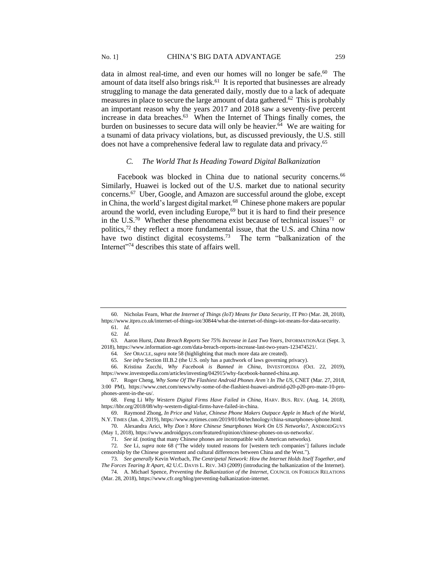data in almost real-time, and even our homes will no longer be safe.<sup>60</sup> The amount of data itself also brings risk.<sup>61</sup> It is reported that businesses are already struggling to manage the data generated daily, mostly due to a lack of adequate measures in place to secure the large amount of data gathered.<sup>62</sup> This is probably an important reason why the years 2017 and 2018 saw a seventy-five percent increase in data breaches.<sup>63</sup> When the Internet of Things finally comes, the burden on businesses to secure data will only be heavier.<sup>64</sup> We are waiting for a tsunami of data privacy violations, but, as discussed previously, the U.S. still does not have a comprehensive federal law to regulate data and privacy.<sup>65</sup>

## *C. The World That Is Heading Toward Digital Balkanization*

Facebook was blocked in China due to national security concerns.<sup>66</sup> Similarly, Huawei is locked out of the U.S. market due to national security concerns.<sup>67</sup> Uber, Google, and Amazon are successful around the globe, except in China, the world's largest digital market.<sup>68</sup> Chinese phone makers are popular around the world, even including Europe,<sup>69</sup> but it is hard to find their presence in the U.S.<sup>70</sup> Whether these phenomena exist because of technical issues<sup>71</sup> or politics,<sup>72</sup> they reflect a more fundamental issue, that the U.S. and China now have two distinct digital ecosystems.<sup>73</sup> The term "balkanization of the Internet"<sup>74</sup> describes this state of affairs well.

<sup>60.</sup> Nicholas Fearn, *What the Internet of Things (IoT) Means for Data Security*, IT PRO (Mar. 28, 2018), https://www.itpro.co.uk/internet-of-things-iot/30844/what-the-internet-of-things-iot-means-for-data-security.

<sup>61</sup>*. Id.*

<sup>62</sup>*. Id.*

<sup>63.</sup> Aaron Hurst, *Data Breach Reports See 75% Increase in Last Two Years*, INFORMATIONAGE (Sept. 3, 2018), https://www.information-age.com/data-breach-reports-increase-last-two-years-123474521/.

<sup>64</sup>*. See* ORACLE,*supra* note 58 (highlighting that much more data are created).

<sup>65</sup>*. See infra* Section III.B.2 (the U.S. only has a patchwork of laws governing privacy).

<sup>66.</sup> Kristina Zucchi, *Why Facebook is Banned in China*, INVESTOPEDIA (Oct. 22, 2019), https://www.investopedia.com/articles/investing/042915/why-facebook-banned-china.asp.

<sup>67.</sup> Roger Cheng, *Why Some Of The Flashiest Android Phones Aren't In The US*, CNET (Mar. 27, 2018, 3:00 PM), https://www.cnet.com/news/why-some-of-the-flashiest-huawei-android-p20-p20-pro-mate-10-prophones-arent-in-the-us/.

<sup>68.</sup> Feng Li *Why Western Digital Firms Have Failed in China*, HARV. BUS. REV. (Aug. 14, 2018), https://hbr.org/2018/08/why-western-digital-firms-have-failed-in-china.

<sup>69.</sup> Raymond Zhong, *In Price and Value, Chinese Phone Makers Outpace Apple in Much of the World*, N.Y. TIMES (Jan. 4, 2019), https://www.nytimes.com/2019/01/04/technology/china-smartphones-iphone.html.

<sup>70.</sup> Alexandra Arici, *Why Don't More Chinese Smartphones Work On US Networks?*, ANDROIDGUYS (May 1, 2018), https://www.androidguys.com/featured/opinion/chinese-phones-on-us-networks/.

<sup>71</sup>*. See id.* (noting that many Chinese phones are incompatible with American networks).

<sup>72</sup>*. See* Li, *supra* note 68 ("The widely touted reasons for [western tech companies'] failures include censorship by the Chinese government and cultural differences between China and the West.").

<sup>73</sup>*. See generally* Kevin Werbach, *The Centripetal Network: How the Internet Holds Itself Together, and The Forces Tearing It Apart*, 42 U.C. DAVIS L. REV. 343 (2009) (introducing the balkanization of the Internet).

<sup>74.</sup> A. Michael Spence, *Preventing the Balkanization of the Internet*, COUNCIL ON FOREIGN RELATIONS (Mar. 28, 2018), https://www.cfr.org/blog/preventing-balkanization-internet.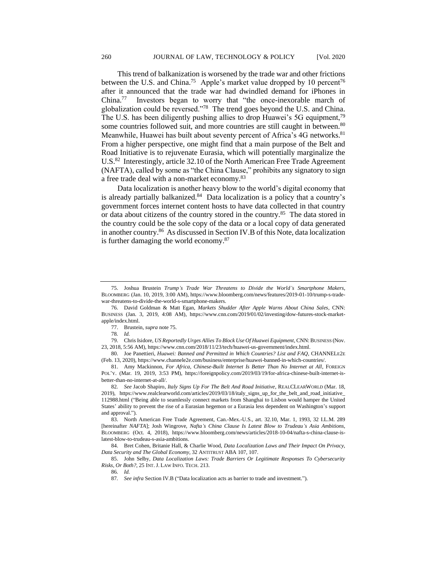This trend of balkanization is worsened by the trade war and other frictions between the U.S. and China.<sup>75</sup> Apple's market value dropped by 10 percent<sup>76</sup> after it announced that the trade war had dwindled demand for iPhones in China.<sup>77</sup> Investors began to worry that "the once-inexorable march of globalization could be reversed."<sup>78</sup> The trend goes beyond the U.S. and China. The U.S. has been diligently pushing allies to drop Huawei's 5G equipment,<sup>79</sup> some countries followed suit, and more countries are still caught in between.<sup>80</sup> Meanwhile, Huawei has built about seventy percent of Africa's 4G networks.<sup>81</sup> From a higher perspective, one might find that a main purpose of the Belt and Road Initiative is to rejuvenate Eurasia, which will potentially marginalize the U.S.<sup>82</sup> Interestingly, article 32.10 of the North American Free Trade Agreement (NAFTA), called by some as "the China Clause," prohibits any signatory to sign a free trade deal with a non-market economy.<sup>83</sup>

Data localization is another heavy blow to the world's digital economy that is already partially balkanized.<sup>84</sup> Data localization is a policy that a country's government forces internet content hosts to have data collected in that country or data about citizens of the country stored in the country.<sup>85</sup> The data stored in the country could be the sole copy of the data or a local copy of data generated in another country.<sup>86</sup> As discussed in Section IV.B of this Note, data localization is further damaging the world economy.<sup>87</sup>

85. John Selby, *Data Localization Laws: Trade Barriers Or Legitimate Responses To Cybersecurity Risks, Or Both?*, 25 INT.J. LAW INFO. TECH. 213.

<sup>75.</sup> Joshua Brustein *Trump's Trade War Threatens to Divide the World's Smartphone Makers*, BLOOMBERG (Jan. 10, 2019, 3:00 AM), https://www.bloomberg.com/news/features/2019-01-10/trump-s-tradewar-threatens-to-divide-the-world-s-smartphone-makers.

<sup>76.</sup> David Goldman & Matt Egan, *Markets Shudder After Apple Warns About China Sales*, CNN: BUSINESS (Jan. 3, 2019, 4:08 AM), https://www.cnn.com/2019/01/02/investing/dow-futures-stock-marketapple/index.html.

<sup>77.</sup> Brustein, *supra* note 75.

<sup>78</sup>*. Id.*

<sup>79.</sup> Chris Isidore, *US Reportedly Urges Allies To Block Use Of Huawei Equipment*, CNN: BUSINESS (Nov. 23, 2018, 5:56 AM), https://www.cnn.com/2018/11/23/tech/huawei-us-government/index.html.

<sup>80.</sup> Joe Panettieri, *Huawei: Banned and Permitted in Which Countries? List and FAQ,* CHANNELE2E (Feb. 13, 2020), https://www.channele2e.com/business/enterprise/huawei-banned-in-which-countries/.

<sup>81.</sup> Amy Mackinnon, *For Africa, Chinese-Built Internet Is Better Than No Internet at All*, FOREIGN POL'Y. (Mar. 19, 2019, 3:53 PM), https://foreignpolicy.com/2019/03/19/for-africa-chinese-built-internet-isbetter-than-no-internet-at-all/.

<sup>82</sup>*. See* Jacob Shapiro, *Italy Signs Up For The Belt And Road Initiative*, REALCLEARWORLD (Mar. 18, 2019), https://www.realclearworld.com/articles/2019/03/18/italy\_signs\_up\_for\_the\_belt\_and\_road\_initiative\_ 112988.html ("Being able to seamlessly connect markets from Shanghai to Lisbon would hamper the United States' ability to prevent the rise of a Eurasian hegemon or a Eurasia less dependent on Washington's support and approval.").

<sup>83.</sup> North American Free Trade Agreement, Can.-Mex.-U.S., art. 32.10, Mar. 1, 1993, 32 I.L.M. 289 [hereinafter *NAFTA*]; Josh Wingrove, *Nafta's China Clause Is Latest Blow to Trudeau's Asia Ambitions*, BLOOMBERG (Oct. 4, 2018), https://www.bloomberg.com/news/articles/2018-10-04/nafta-s-china-clause-islatest-blow-to-trudeau-s-asia-ambitions.

<sup>84.</sup> Bret Cohen, Britanie Hall, & Charlie Wood, *Data Localization Laws and Their Impact On Privacy, Data Security and The Global Economy*, 32 ANTITRUST ABA 107, 107.

<sup>86</sup>*. Id.*

<sup>87</sup>*. See infra* Section IV.B ("Data localization acts as barrier to trade and investment.").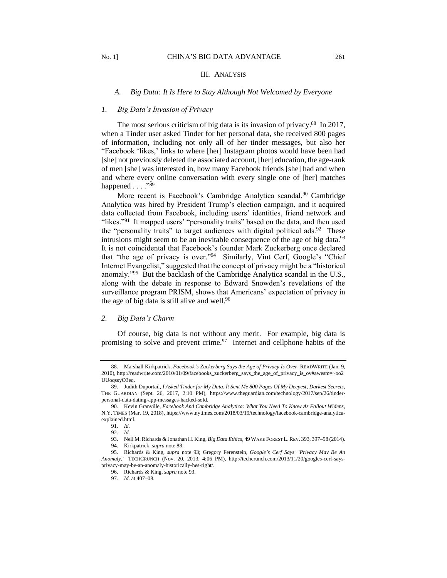#### III. ANALYSIS

#### *A. Big Data: It Is Here to Stay Although Not Welcomed by Everyone*

## *1. Big Data's Invasion of Privacy*

The most serious criticism of big data is its invasion of privacy.<sup>88</sup> In 2017, when a Tinder user asked Tinder for her personal data, she received 800 pages of information, including not only all of her tinder messages, but also her "Facebook 'likes,' links to where [her] Instagram photos would have been had [she] not previously deleted the associated account, [her] education, the age-rank of men [she] was interested in, how many Facebook friends [she] had and when and where every online conversation with every single one of [her] matches happened . . . . "89

More recent is Facebook's Cambridge Analytica scandal.<sup>90</sup> Cambridge Analytica was hired by President Trump's election campaign, and it acquired data collected from Facebook, including users' identities, friend network and "likes."<sup>91</sup> It mapped users' "personality traits" based on the data, and then used the "personality traits" to target audiences with digital political ads.<sup>92</sup> These intrusions might seem to be an inevitable consequence of the age of big data.<sup>93</sup> It is not coincidental that Facebook's founder Mark Zuckerberg once declared that "the age of privacy is over."<sup>94</sup> Similarly, Vint Cerf, Google's "Chief Internet Evangelist," suggested that the concept of privacy might be a "historical anomaly."<sup>95</sup> But the backlash of the Cambridge Analytica scandal in the U.S., along with the debate in response to Edward Snowden's revelations of the surveillance program PRISM, shows that Americans' expectation of privacy in the age of big data is still alive and well.<sup>96</sup>

# *2. Big Data's Charm*

Of course, big data is not without any merit. For example, big data is promising to solve and prevent crime. $\frac{97}{7}$  Internet and cellphone habits of the

<sup>88.</sup> Marshall Kirkpatrick*, Facebook's Zuckerberg Says the Age of Privacy Is Over*, READWRITE (Jan. 9, 2010), http://readwrite.com/2010/01/09/facebooks\_zuckerberg\_says\_the\_age\_of\_privacy\_is\_ov#awesm=~oo2 UUoqssyO3eq.

<sup>89.</sup> Judith Duportail, *I Asked Tinder for My Data. It Sent Me 800 Pages Of My Deepest, Darkest Secrets*, THE GUARDIAN (Sept. 26, 2017, 2:10 PM), https://www.theguardian.com/technology/2017/sep/26/tinderpersonal-data-dating-app-messages-hacked-sold.

<sup>90.</sup> Kevin Granville, *Facebook And Cambridge Analytica: What You Need To Know As Fallout Widens*, N.Y. TIMES (Mar. 19, 2018), https://www.nytimes.com/2018/03/19/technology/facebook-cambridge-analyticaexplained.html.

<sup>91</sup>*. Id.*

<sup>92</sup>*. Id.*

<sup>93.</sup> Neil M. Richards & Jonathan H. King, *Big Data Ethics*, 49 WAKE FOREST L.REV. 393, 397–98 (2014). 94. Kirkpatrick, *supra* note 88.

<sup>95.</sup> Richards & King, *supra* note 93; Gregory Ferenstein, *Google's Cerf Says "Privacy May Be An Anomaly,"* TECHCRUNCH (Nov. 20, 2013, 4:06 PM), http://techcrunch.com/2013/11/20/googles-cerf-saysprivacy-may-be-an-anomaly-historically-hes-right/.

<sup>96.</sup> Richards & King, *supra* note 93.

<sup>97</sup>*. Id.* at 407–08.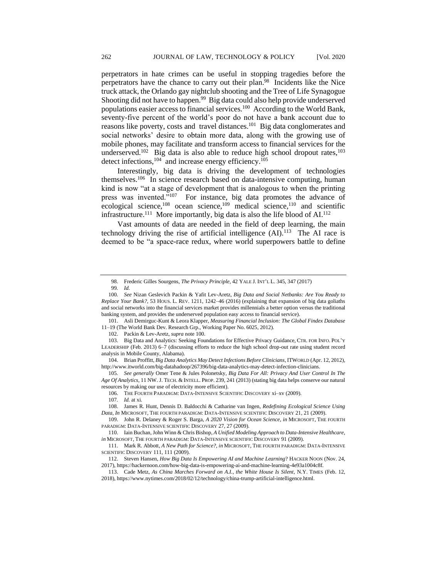perpetrators in hate crimes can be useful in stopping tragedies before the perpetrators have the chance to carry out their plan.<sup>98</sup> Incidents like the Nice truck attack, the Orlando gay nightclub shooting and the Tree of Life Synagogue Shooting did not have to happen.<sup>99</sup> Big data could also help provide underserved populations easier access to financial services.<sup>100</sup> According to the World Bank, seventy-five percent of the world's poor do not have a bank account due to reasons like poverty, costs and travel distances.<sup>101</sup> Big data conglomerates and social networks' desire to obtain more data, along with the growing use of mobile phones, may facilitate and transform access to financial services for the underserved.<sup>102</sup> Big data is also able to reduce high school dropout rates,<sup>103</sup> detect infections,<sup>104</sup> and increase energy efficiency.<sup>105</sup>

Interestingly, big data is driving the development of technologies themselves.<sup>106</sup> In science research based on data-intensive computing, human kind is now "at a stage of development that is analogous to when the printing press was invented."<sup>107</sup> For instance, big data promotes the advance of ecological science,<sup>108</sup> ocean science,<sup>109</sup> medical science,<sup>110</sup> and scientific infrastructure.<sup>111</sup> More importantly, big data is also the life blood of AI.<sup>112</sup>

Vast amounts of data are needed in the field of deep learning, the main technology driving the rise of artificial intelligence  $(AI)$ .<sup>113</sup> The AI race is deemed to be "a space-race redux, where world superpowers battle to define

101. Asli Demirguc-Kunt & Leora Klapper, *Measuring Financial Inclusion: The Global Findex Database* 11–19 (The World Bank Dev. Research Grp., Working Paper No. 6025, 2012).

102. Packin & Lev-Aretz, *supra* note 100.

106. THE FOURTH PARADIGM: DATA-INTENSIVE SCIENTIFIC DISCOVERY xi–xv (2009).

<sup>98.</sup> Frederic Gilles Sourgens, *The Privacy Principle*, 42 YALE J. INT'L L. 345, 347 (2017)

<sup>99</sup>*. Id.*

<sup>100</sup>*. See* Nizan Geslevich Packin & Yafit Lev-Aretz, *Big Data and Social Netbanks: Are You Ready to Replace Your Bank?*, 53 HOUS. L. REV. 1211, 1242–46 (2016) (explaining that expansion of big data goliaths and social networks into the financial services market provides millennials a better option versus the traditional banking system, and provides the underserved population easy access to financial service).

<sup>103.</sup> Big Data and Analytics: Seeking Foundations for Effective Privacy Guidance, CTR. FOR INFO. POL'Y LEADERSHIP (Feb. 2013) 6–7 (discussing efforts to reduce the high school drop-out rate using student record analysis in Mobile County, Alabama).

<sup>104.</sup> Brian Proffitt, *Big Data Analytics May Detect Infections Before Clinicians*, ITWORLD (Apr. 12, 2012), http://www.itworld.com/big-datahadoop/267396/big-data-analytics-may-detect-infection-clinicians.

<sup>105</sup>*. See generally* Omer Tene & Jules Polonetsky, *Big Data For All: Privacy And User Control In The Age Of Analytics*, 11 NW. J. TECH. & INTELL. PROP. 239, 241 (2013) (stating big data helps conserve our natural resources by making our use of electricity more efficient).

<sup>107</sup>*. Id.* at xi.

<sup>108.</sup> James R. Hunt, Dennis D. Baldocchi & Catharine van Ingen, *Redefining Ecological Science Using Data*, *In* MICROSOFT, THE FOURTH PARADIGM: DATA-INTENSIVE SCIENTIFIC DISCOVERY 21, 21 (2009).

<sup>109.</sup> John R. Delaney & Roger S. Barga, *A 2020 Vision for Ocean Science*, *in* MICROSOFT, THE FOURTH PARADIGM: DATA-INTENSIVE SCIENTIFIC DISCOVERY 27, 27 (2009).

<sup>110.</sup> Iain Buchan, John Winn & Chris Bishop, *A Unified Modeling Approach to Data-Intensive Healthcare*, *in* MICROSOFT, THE FOURTH PARADIGM: DATA-INTENSIVE SCIENTIFIC DISCOVERY 91 (2009).

<sup>111.</sup> Mark R. Abbott, *A New Path for Science?, in* MICROSOFT, THE FOURTH PARADIGM: DATA-INTENSIVE SCIENTIFIC DISCOVERY 111, 111 (2009).

<sup>112.</sup> Steven Hansen, *How Big Data Is Empowering AI and Machine Learning*? HACKER NOON (Nov. 24, 2017), https://hackernoon.com/how-big-data-is-empowering-ai-and-machine-learning-4e93a1004c8f.

<sup>113.</sup> Cade Metz, *As China Marches Forward on A.I., the White House Is Silent*, N.Y. TIMES (Feb. 12, 2018), https://www.nytimes.com/2018/02/12/technology/china-trump-artificial-intelligence.html.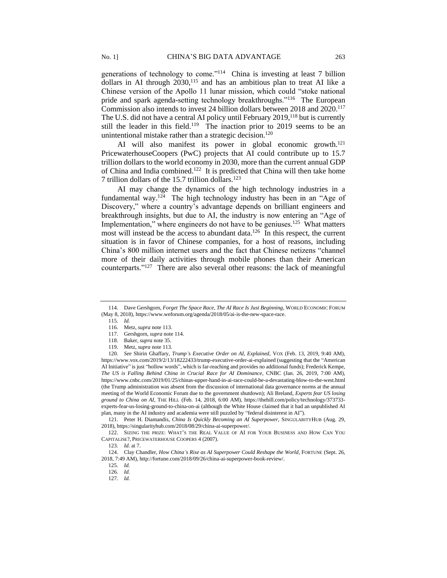generations of technology to come."<sup>114</sup> China is investing at least 7 billion dollars in AI through  $2030$ ,<sup>115</sup> and has an ambitious plan to treat AI like a Chinese version of the Apollo 11 lunar mission, which could "stoke national pride and spark agenda-setting technology breakthroughs."<sup>116</sup> The European Commission also intends to invest 24 billion dollars between 2018 and 2020.<sup>117</sup> The U.S. did not have a central AI policy until February 2019,<sup>118</sup> but is currently still the leader in this field.<sup>119</sup> The inaction prior to 2019 seems to be an unintentional mistake rather than a strategic decision.<sup>120</sup>

AI will also manifest its power in global economic growth.<sup>121</sup> PricewaterhouseCoopers (PwC) projects that AI could contribute up to 15.7 trillion dollars to the world economy in 2030, more than the current annual GDP of China and India combined.<sup>122</sup> It is predicted that China will then take home 7 trillion dollars of the 15.7 trillion dollars.<sup>123</sup>

AI may change the dynamics of the high technology industries in a fundamental way.<sup>124</sup> The high technology industry has been in an "Age of Discovery," where a country's advantage depends on brilliant engineers and breakthrough insights, but due to AI, the industry is now entering an "Age of Implementation," where engineers do not have to be geniuses.<sup>125</sup> What matters most will instead be the access to abundant data.<sup>126</sup> In this respect, the current situation is in favor of Chinese companies, for a host of reasons, including China's 800 million internet users and the fact that Chinese netizens "channel more of their daily activities through mobile phones than their American counterparts."<sup>127</sup> There are also several other reasons: the lack of meaningful

- 118. Baker, *supra* note 35.
- 119. Metz, *supra* note 113.

120*. See* Shirin Ghaffary, *Trump's Executive Order on AI, Explained*, VOX (Feb. 13, 2019, 9:40 AM), https://www.vox.com/2019/2/13/18222433/trump-executive-order-ai-explained (suggesting that the "American AI Initiative" is just "hollow words", which is far-reaching and provides no additional funds); Frederick Kempe, *The US is Falling Behind China in Crucial Race for AI Dominance*, CNBC (Jan. 26, 2019, 7:00 AM), https://www.cnbc.com/2019/01/25/chinas-upper-hand-in-ai-race-could-be-a-devastating-blow-to-the-west.html (the Trump administration was absent from the discussion of international data governance norms at the annual meeting of the World Economic Forum due to the government shutdown); Ali Breland, *Experts fear US losing ground to China on AI*, THE HILL (Feb. 14, 2018, 6:00 AM), https://thehill.com/policy/technology/373733 experts-fear-us-losing-ground-to-china-on-ai (although the White House claimed that it had an unpublished AI plan, many in the AI industry and academia were still puzzled by "federal disinterest in AI").

121. Peter H. Diamandis, *China Is Quickly Becoming an AI Superpower*, SINGULARITYHUB (Aug. 29, 2018), https://singularityhub.com/2018/08/29/china-ai-superpower/.

122. SIZING THE PRIZE: WHAT'S THE REAL VALUE OF AI FOR YOUR BUSINESS AND HOW CAN YOU CAPITALISE?, PRICEWATERHOUSE COOPERS 4 (2007).

124. Clay Chandler, *How China's Rise as AI Superpower Could Reshape the World*, FORTUNE (Sept. 26, 2018, 7:49 AM), http://fortune.com/2018/09/26/china-ai-superpower-book-review/.

127*. Id.*

<sup>114.</sup> Dave Gershgorn, *Forget The Space Race, The AI Race Is Just Beginning*, WORLD ECONOMIC FORUM (May 8, 2018), https://www.weforum.org/agenda/2018/05/ai-is-the-new-space-race.

<sup>115</sup>*. Id.*

<sup>116.</sup> Metz, *supra* note 113.

<sup>117.</sup> Gershgorn, *supra* note 114.

<sup>123</sup>*. Id.* at 7.

<sup>125</sup>*. Id.*

<sup>126</sup>*. Id.*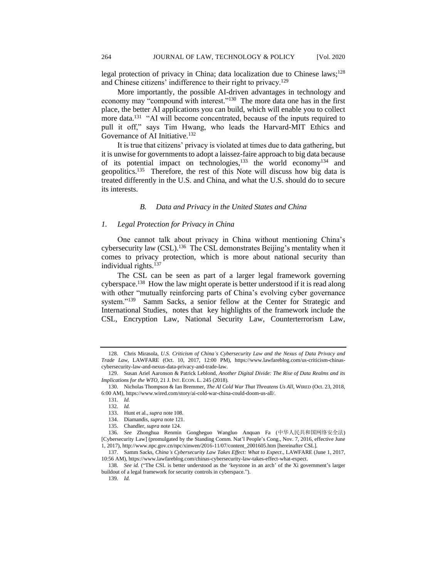legal protection of privacy in China; data localization due to Chinese laws;<sup>128</sup> and Chinese citizens' indifference to their right to privacy.<sup>129</sup>

More importantly, the possible AI-driven advantages in technology and economy may "compound with interest."<sup>130</sup> The more data one has in the first place, the better AI applications you can build, which will enable you to collect more data.<sup>131</sup> "AI will become concentrated, because of the inputs required to pull it off," says Tim Hwang, who leads the Harvard-MIT Ethics and Governance of AI Initiative.<sup>132</sup>

It is true that citizens' privacy is violated at times due to data gathering, but it is unwise for governments to adopt a laissez-faire approach to big data because of its potential impact on technologies,<sup>133</sup> the world economy<sup>134</sup> and geopolitics.<sup>135</sup> Therefore, the rest of this Note will discuss how big data is treated differently in the U.S. and China, and what the U.S. should do to secure its interests.

## *B. Data and Privacy in the United States and China*

# *1. Legal Protection for Privacy in China*

One cannot talk about privacy in China without mentioning China's cybersecurity law (CSL).<sup>136</sup> The CSL demonstrates Beijing's mentality when it comes to privacy protection, which is more about national security than individual rights.<sup>137</sup>

The CSL can be seen as part of a larger legal framework governing cyberspace.<sup>138</sup> How the law might operate is better understood if it is read along with other "mutually reinforcing parts of China's evolving cyber governance system."<sup>139</sup> Samm Sacks, a senior fellow at the Center for Strategic and International Studies, notes that key highlights of the framework include the CSL, Encryption Law, National Security Law, Counterterrorism Law,

136*. See* Zhonghua Renmin Gongheguo Wangluo Anquan Fa (中华人民共和国网络安全法) [Cybersecurity Law] (promulgated by the Standing Comm. Nat'l People's Cong., Nov. 7, 2016, effective June 1, 2017), http://www.npc.gov.cn/npc/xinwen/2016-11/07/content\_2001605.htm [hereinafter CSL].

<sup>128.</sup> Chris Mirasola, *U.S. Criticism of China's Cybersecurity Law and the Nexus of Data Privacy and Trade Law*, LAWFARE (Oct. 10, 2017, 12:00 PM), https://www.lawfareblog.com/us-criticism-chinascybersecurity-law-and-nexus-data-privacy-and-trade-law.

<sup>129.</sup> Susan Ariel Aaronson & Patrick Leblond, *Another Digital Divide: The Rise of Data Realms and its Implications for the WTO*, 21 J. INT. ECON. L. 245 (2018).

<sup>130.</sup> Nicholas Thompson & Ian Bremmer, *The AI Cold War That Threatens Us All*, WIRED (Oct. 23, 2018, 6:00 AM), https://www.wired.com/story/ai-cold-war-china-could-doom-us-all/.

<sup>131</sup>*. Id.*

<sup>132</sup>*. Id.*

<sup>133.</sup> Hunt et al., *supra* note 108.

<sup>134.</sup> Diamandis, *supra* note 121.

<sup>135.</sup> Chandler, *supra* note 124.

<sup>137.</sup> Samm Sacks, *China's Cybersecurity Law Takes Effect: What to Expect*., LAWFARE (June 1, 2017, 10:56 AM), https://www.lawfareblog.com/chinas-cybersecurity-law-takes-effect-what-expect.

<sup>138</sup>*. See id.* ("The CSL is better understood as the 'keystone in an arch' of the Xi government's larger buildout of a legal framework for security controls in cyberspace.").

<sup>139</sup>*. Id.*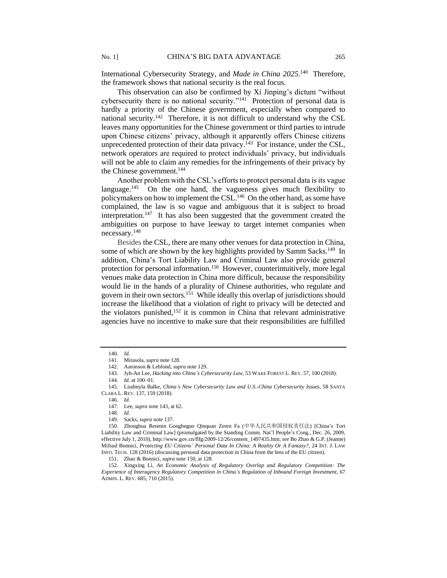International Cybersecurity Strategy, and *Made in China 2025*.<sup>140</sup> Therefore, the framework shows that national security is the real focus.

This observation can also be confirmed by Xi Jinping's dictum "without cybersecurity there is no national security."<sup>141</sup> Protection of personal data is hardly a priority of the Chinese government, especially when compared to national security.<sup>142</sup> Therefore, it is not difficult to understand why the CSL leaves many opportunities for the Chinese government or third parties to intrude upon Chinese citizens' privacy, although it apparently offers Chinese citizens unprecedented protection of their data privacy.<sup>143</sup> For instance, under the CSL, network operators are required to protect individuals' privacy, but individuals will not be able to claim any remedies for the infringements of their privacy by the Chinese government.<sup>144</sup>

Another problem with the CSL's efforts to protect personal data is its vague language.<sup>145</sup> On the one hand, the vagueness gives much flexibility to policymakers on how to implement the CSL.<sup>146</sup> On the other hand, as some have complained, the law is so vague and ambiguous that it is subject to broad interpretation.<sup>147</sup> It has also been suggested that the government created the ambiguities on purpose to have leeway to target internet companies when necessary.<sup>148</sup>

Besides the CSL, there are many other venues for data protection in China, some of which are shown by the key highlights provided by Samm Sacks.<sup>149</sup> In addition, China's Tort Liability Law and Criminal Law also provide general protection for personal information.<sup>150</sup> However, counterintuitively, more legal venues make data protection in China more difficult, because the responsibility would lie in the hands of a plurality of Chinese authorities, who regulate and govern in their own sectors.<sup>151</sup> While ideally this overlap of jurisdictions should increase the likelihood that a violation of right to privacy will be detected and the violators punished,<sup>152</sup> it is common in China that relevant administrative agencies have no incentive to make sure that their responsibilities are fulfilled

<sup>140</sup>*. Id.*

<sup>141.</sup> Mirasola, *supra* note 128.

<sup>142.</sup> Aaronson & Leblond, *supra* note 129.

<sup>143.</sup> Jyh-An Lee, *Hacking into China's Cybersecurity Law*, 53 WAKE FOREST L. REV. 57, 100 (2018).

<sup>144</sup>*. Id.* at 100–01.

<sup>145.</sup> Liudmyla Balke, *China's New Cybersecurity Law and U.S.-China Cybersecurity Issues*, 58 SANTA CLARA L. REV. 137, 159 (2018).

<sup>146</sup>*. Id.*

<sup>147.</sup> Lee, *supra* note 143, at 62.

<sup>148</sup>*. Id.*

<sup>149.</sup> Sacks, *supra* note 137.

<sup>150.</sup> Zhonghua Renmin Gongheguo Qinquan Zeren Fa (中华人民共和国侵权责任法) [China's Tort Liability Law and Criminal Law] (promulgated by the Standing Comm. Nat'l People's Cong., Dec. 26, 2009, effective July 1, 2010), http://www.gov.cn/flfg/2009-12/26/content\_1497435.htm; *see* Bo Zhao & G.P. (Jeanne) Mifsud Bonnici, *Protecting EU Citizens' Personal Data In China: A Reality Or A Fantasy?*, 24 INT. J. LAW INFO. TECH. 128 (2016) (discussing personal data protection in China from the lens of the EU citizen).

<sup>151.</sup> Zhao & Bonnici, *supra* note 150, at 128.

<sup>152.</sup> Xingxing Li, *An Economic Analysis of Regulatory Overlap and Regulatory Competition: The Experience of Interagency Regulatory Competition in China's Regulation of Inbound Foreign Investment*, 67 ADMIN. L. REV. 685, 710 (2015).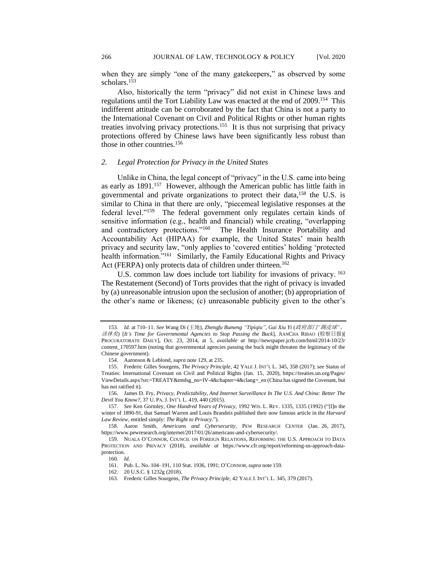when they are simply "one of the many gatekeepers," as observed by some scholars.<sup>153</sup>

Also, historically the term "privacy" did not exist in Chinese laws and regulations until the Tort Liability Law was enacted at the end of 2009.<sup>154</sup> This indifferent attitude can be corroborated by the fact that China is not a party to the International Covenant on Civil and Political Rights or other human rights treaties involving privacy protections.<sup>155</sup> It is thus not surprising that privacy protections offered by Chinese laws have been significantly less robust than those in other countries.<sup>156</sup>

#### *2. Legal Protection for Privacy in the United States*

Unlike in China, the legal concept of "privacy" in the U.S. came into being as early as  $1891$ .<sup>157</sup> However, although the American public has little faith in governmental and private organizations to protect their data,<sup>158</sup> the U.S. is similar to China in that there are only, "piecemeal legislative responses at the federal level."<sup>159</sup> The federal government only regulates certain kinds of sensitive information (e.g., health and financial) while creating, "overlapping and contradictory protections."<sup>160</sup> The Health Insurance Portability and Accountability Act (HIPAA) for example, the United States' main health privacy and security law, "only applies to 'covered entities' holding 'protected health information."<sup>161</sup> Similarly, the Family Educational Rights and Privacy Act (FERPA) only protects data of children under thirteen.<sup>162</sup>

U.S. common law does include tort liability for invasions of privacy. <sup>163</sup> The Restatement (Second) of Torts provides that the right of privacy is invaded by (a) unreasonable intrusion upon the seclusion of another; (b) appropriation of the other's name or likeness; (c) unreasonable publicity given to the other's

<sup>153</sup>*. Id.* at 710–11. *See* Wang Di (王地), *Zhengfu Bumeng "Tipiqiu", Gai Xiu Yi* (政府部门*"*踢皮球*"*, 该休矣) [*It's Time for Governmental Agencies to Stop Passing the Buck*], JIANCHA RIBAO (检察日报)[ PROCURATORATE DAILY], Oct. 23, 2014, at 5, *available at* http://newspaper.jcrb.com/html/2014-10/23/ content\_170597.htm (noting that governmental agencies passing the buck might threaten the legitimacy of the Chinese government).

<sup>154.</sup> Aaronson & Leblond, *supra* note 129, at 235.

<sup>155.</sup> Frederic Gilles Sourgens, *The Privacy Principle*, 42 YALE J. INT'L L. 345, 358 (2017); *see* Status of Treaties: International Covenant on Civil and Political Rights (Jan. 15, 2020), https://treaties.un.org/Pages/ ViewDetails.aspx?src=TREATY&mtdsg\_no=IV-4&chapter=4&clang=\_en (China has signed the Covenant, but has not ratified it).

<sup>156.</sup> James D. Fry, *Privacy*, *Predictability, And Internet Surveillance In The U.S. And China: Better The Devil You Know?*, 37 U. PA.J. INT'L L. 419, 440 (2015).

<sup>157</sup>*. See* Ken Gormley, *One Hundred Years of Privacy*, 1992 WIS. L. REV. 1335, 1335 (1992) ("[I]n the winter of 1890-91, that Samuel Warren and Louis Brandeis published their now famous article in the *Harvard Law Review*, entitled simply: *The Right to Privacy*.").

<sup>158.</sup> Aaron Smith, *Americans and Cybersecurity*, PEW RESEARCH CENTER (Jan. 26, 2017), https://www.pewresearch.org/internet/2017/01/26/americans-and-cybersecurity/.

<sup>159.</sup> NUALA O'CONNOR, COUNCIL ON FOREIGN RELATIONS, REFORMING THE U.S. APPROACH TO DATA PROTECTION AND PRIVACY (2018), *available at* https://www.cfr.org/report/reforming-us-approach-dataprotection.

<sup>160</sup>*. Id.*

<sup>161.</sup> Pub. L. No. 104–191, 110 Stat. 1936, 1991; O'CONNOR,*supra* note 159.

<sup>162.</sup> 20 U.S.C. § 1232g (2018).

<sup>163.</sup> Frederic Gilles Sourgens, *The Privacy Principle*, 42 YALE J. INT'L L. 345, 379 (2017).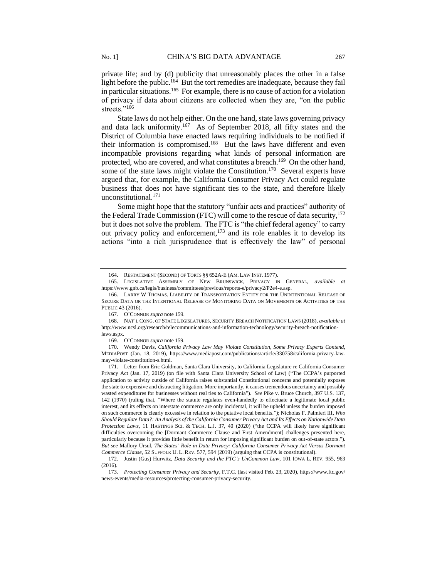private life; and by (d) publicity that unreasonably places the other in a false light before the public.<sup>164</sup> But the tort remedies are inadequate, because they fail in particular situations.<sup>165</sup> For example, there is no cause of action for a violation of privacy if data about citizens are collected when they are, "on the public streets."166

State laws do not help either. On the one hand, state laws governing privacy and data lack uniformity.<sup>167</sup> As of September 2018, all fifty states and the District of Columbia have enacted laws requiring individuals to be notified if their information is compromised.<sup>168</sup> But the laws have different and even incompatible provisions regarding what kinds of personal information are protected, who are covered, and what constitutes a breach.<sup>169</sup> On the other hand, some of the state laws might violate the Constitution.<sup>170</sup> Several experts have argued that, for example, the California Consumer Privacy Act could regulate business that does not have significant ties to the state, and therefore likely unconstitutional.<sup>171</sup>

Some might hope that the statutory "unfair acts and practices" authority of the Federal Trade Commission (FTC) will come to the rescue of data security,<sup>172</sup> but it does not solve the problem. The FTC is "the chief federal agency" to carry out privacy policy and enforcement, $173$  and its role enables it to develop its actions "into a rich jurisprudence that is effectively the law" of personal

<sup>164.</sup> RESTATEMENT (SECOND) OF TORTS §§ 652A-E (AM. LAW INST. 1977).

<sup>165.</sup> LEGISLATIVE ASSEMBLY OF NEW BRUNSWICK, PRIVACY IN GENERAL, *available at* https://www.gnb.ca/legis/business/committees/previous/reports-e/privacy2/P2e4-e.asp.

<sup>166.</sup> LARRY W THOMAS, LIABILITY OF TRANSPORTATION ENTITY FOR THE UNINTENTIONAL RELEASE OF SECURE DATA OR THE INTENTIONAL RELEASE OF MONITORING DATA ON MOVEMENTS OR ACTIVITIES OF THE PUBLIC 43 (2016).

<sup>167.</sup> O'CONNOR *supra* note 159.

<sup>168.</sup> NAT'L CONG. OF STATE LEGISLATURES, SECURITY BREACH NOTIFICATION LAWS (2018), *available at* http://www.ncsl.org/research/telecommunications-and-information-technology/security-breach-notificationlaws.aspx.

<sup>169.</sup> O'CONNOR *supra* note 159.

<sup>170.</sup> Wendy Davis, *California Privacy Law May Violate Constitution, Some Privacy Experts Contend*, MEDIAPOST (Jan. 18, 2019), https://www.mediapost.com/publications/article/330758/california-privacy-lawmay-violate-constitution-s.html.

<sup>171.</sup> Letter from Eric Goldman, Santa Clara University, to California Legislature re California Consumer Privacy Act (Jan. 17, 2019) (on file with Santa Clara University School of Law) ("The CCPA's purported application to activity outside of California raises substantial Constitutional concerns and potentially exposes the state to expensive and distracting litigation. More importantly, it causes tremendous uncertainty and possibly wasted expenditures for businesses without real ties to California")*. See* Pike v. Bruce Church, 397 U.S. 137, 142 (1970) (ruling that, "Where the statute regulates even-handedly to effectuate a legitimate local public interest, and its effects on interstate commerce are only incidental, it will be upheld unless the burden imposed on such commerce is clearly excessive in relation to the putative local benefits."); Nicholas F. Palmieri III, *Who Should Regulate Data?: An Analysis of the California Consumer Privacy Act and Its Effects on Nationwide Data Protection Laws*, 11 HASTINGS SCI. & TECH. L.J. 37, 40 (2020) ("the CCPA will likely have significant difficulties overcoming the [Dormant Commerce Clause and First Amendment] challenges presented here, particularly because it provides little benefit in return for imposing significant burden on out-of-state actors."). *But see* Mallory Ursul, *The States' Role in Data Privacy: California Consumer Privacy Act Versus Dormant Commerce Clause*, 52 SUFFOLK U. L. REV. 577, 594 (2019) (arguing that CCPA is constitutional).

<sup>172.</sup> Justin (Gus) Hurwitz, *Data Security and the FTC's UnCommon Law*, 101 IOWA L. REV. 955, 963 (2016).

<sup>173</sup>*. Protecting Consumer Privacy and Security*, F.T.C. (last visited Feb. 23, 2020), https://www.ftc.gov/ news-events/media-resources/protecting-consumer-privacy-security.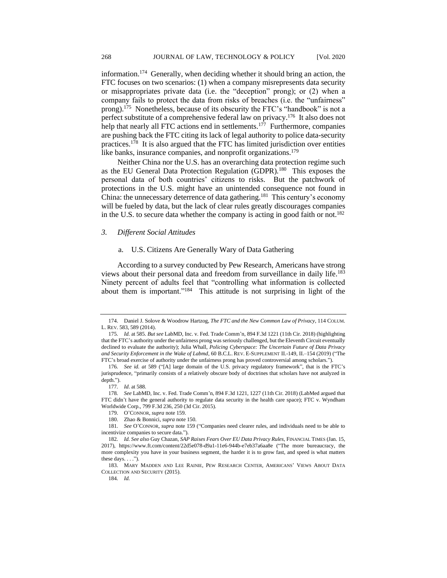information.<sup>174</sup> Generally, when deciding whether it should bring an action, the FTC focuses on two scenarios: (1) when a company misrepresents data security or misappropriates private data (i.e. the "deception" prong); or (2) when a company fails to protect the data from risks of breaches (i.e. the "unfairness" prong).<sup>175</sup> Nonetheless, because of its obscurity the FTC's "handbook" is not a perfect substitute of a comprehensive federal law on privacy.<sup>176</sup> It also does not help that nearly all FTC actions end in settlements.<sup>177</sup> Furthermore, companies are pushing back the FTC citing its lack of legal authority to police data-security practices.<sup>178</sup> It is also argued that the FTC has limited jurisdiction over entities like banks, insurance companies, and nonprofit organizations.<sup>179</sup>

Neither China nor the U.S. has an overarching data protection regime such as the EU General Data Protection Regulation (GDPR).<sup>180</sup> This exposes the personal data of both countries' citizens to risks. But the patchwork of protections in the U.S. might have an unintended consequence not found in China: the unnecessary deterrence of data gathering.<sup>181</sup> This century's economy will be fueled by data, but the lack of clear rules greatly discourages companies in the U.S. to secure data whether the company is acting in good faith or not.<sup>182</sup>

# *3. Different Social Attitudes*

## a. U.S. Citizens Are Generally Wary of Data Gathering

According to a survey conducted by Pew Research, Americans have strong views about their personal data and freedom from surveillance in daily life.<sup>183</sup> Ninety percent of adults feel that "controlling what information is collected about them is important."<sup>184</sup> This attitude is not surprising in light of the

<sup>174.</sup> Daniel J. Solove & Woodrow Hartzog, *The FTC and the New Common Law of Privacy*, 114 COLUM. L. REV. 583, 589 (2014).

<sup>175</sup>*. Id.* at 585. *But see* LabMD, Inc. v. Fed. Trade Comm'n, 894 F.3d 1221 (11th Cir. 2018) (highlighting that the FTC's authority under the unfairness prong was seriously challenged, but the Eleventh Circuit eventually declined to evaluate the authority); Julia Whall, *Policing Cyberspace: The Uncertain Future of Data Privacy and Security Enforcement in the Wake of Labmd*, 60 B.C.L. REV. E-SUPPLEMENT II.-149, II.–154 (2019) ("The FTC's broad exercise of authority under the unfairness prong has proved controversial among scholars.").

<sup>176</sup>*. See id. at* 589 ("[A] large domain of the U.S. privacy regulatory framework", that is the FTC's jurisprudence, "primarily consists of a relatively obscure body of doctrines that scholars have not analyzed in depth.").

<sup>177</sup>*. Id*. at 588.

<sup>178</sup>*. See* LabMD, Inc. v. Fed. Trade Comm'n, 894 F.3d 1221, 1227 (11th Cir. 2018) (LabMed argued that FTC didn't have the general authority to regulate data security in the health care space); FTC v. Wyndham Worldwide Corp., 799 F.3d 236, 250 (3d Cir. 2015).

<sup>179.</sup> O'CONNOR, *supra* note 159.

<sup>180.</sup> Zhao & Bonnici, *supra* note 150.

<sup>181</sup>*. See* O'CONNOR, *supra* note 159 ("Companies need clearer rules, and individuals need to be able to incentivize companies to secure data.").

<sup>182</sup>*. Id. See also* Guy Chazan, *SAP Raises Fears Over EU Data Privacy Rules*, FINANCIAL TIMES (Jan. 15, 2017), https://www.ft.com/content/22d5e078-d9a1-11e6-944b-e7eb37a6aa8e ("The more bureaucracy, the more complexity you have in your business segment, the harder it is to grow fast, and speed is what matters these days.  $\dots$ ").

<sup>183.</sup> MARY MADDEN AND LEE RAINIE, PEW RESEARCH CENTER, AMERICANS' VIEWS ABOUT DATA COLLECTION AND SECURITY (2015).

<sup>184</sup>*. Id.*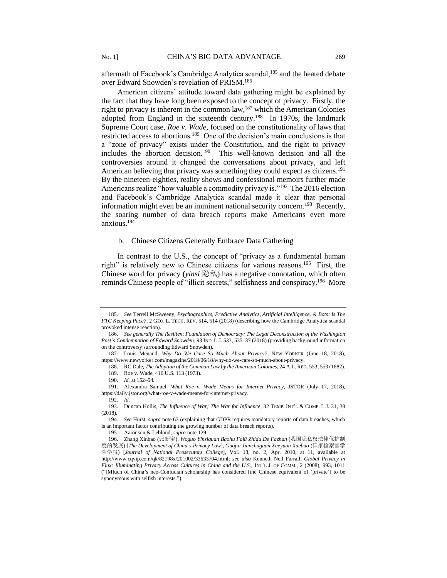aftermath of Facebook's Cambridge Analytica scandal,<sup>185</sup> and the heated debate over Edward Snowden's revelation of PRISM.<sup>186</sup>

American citizens' attitude toward data gathering might be explained by the fact that they have long been exposed to the concept of privacy. Firstly, the right to privacy is inherent in the common law,<sup>187</sup> which the American Colonies adopted from England in the sixteenth century.<sup>188</sup> In 1970s, the landmark Supreme Court case, *Roe v. Wade,* focused on the constitutionality of laws that restricted access to abortions.<sup>189</sup> One of the decision's main conclusions is that a "zone of privacy" exists under the Constitution, and the right to privacy includes the abortion decision.<sup>190</sup> This well-known decision and all the controversies around it changed the conversations about privacy, and left American believing that privacy was something they could expect as citizens.<sup>191</sup> By the nineteen-eighties, reality shows and confessional memoirs further made Americans realize "how valuable a commodity privacy is."<sup>192</sup> The 2016 election and Facebook's Cambridge Analytica scandal made it clear that personal information might even be an imminent national security concern.<sup>193</sup> Recently, the soaring number of data breach reports make Americans even more anxious.<sup>194</sup>

# b. Chinese Citizens Generally Embrace Data Gathering

In contrast to the U.S., the concept of "privacy as a fundamental human right" is relatively new to Chinese citizens for various reasons.<sup>195</sup> First, the Chinese word for privacy (*yinsi* 隐私) has a negative connotation, which often reminds Chinese people of "illicit secrets," selfishness and conspiracy.<sup>196</sup> More

<sup>185</sup>*. See* Terrell McSweeny, *Psychographics, Predictive Analytics, Artificial Intelligence, & Bots: Is The FTC Keeping Pace?*, 2 GEO. L. TECH. REV. 514, 514 (2018) (describing how the Cambridge Analytica scandal provoked intense reaction).

<sup>186</sup>*. See generally The Resilient Foundation of Democracy: The Legal Deconstruction of the Washington Post's Condemnation of Edward Snowden*, 93 IND. L.J. 533, 535–37 (2018) (providing background information on the controversy surrounding Edward Snowden).

<sup>187.</sup> Louis Menand, *Why Do We Care So Much About Privacy?*, NEW YORKER (June 18, 2018), https://www.newyorker.com/magazine/2018/06/18/why-do-we-care-so-much-about-privacy.

<sup>188.</sup> RC Dale, *The Adoption of the Common Law by the American Colonies*, 24 A.L. REG. 553, 553 (1882). 189. Roe v. Wade, 410 U.S. 113 (1973).

<sup>190</sup>*. Id.* at 152–54.

<sup>191.</sup> Alexandra Samuel, *What Roe v. Wade Means for Internet Privacy*, JSTOR (July 17, 2018), https://daily.jstor.org/what-roe-v-wade-means-for-internet-privacy.

<sup>192</sup>*. Id.*

<sup>193.</sup> Duncan Hollis, *The Influence of War; The War for Influence*, 32 TEMP. INT'L & COMP. L.J. 31, 38 (2018).

<sup>194</sup>*. See* Hurst, *supra* note 63 (explaining that GDPR requires mandatory reports of data breaches, which is an important factor contributing the growing number of data breach reports).

<sup>195.</sup> Aaronson & Leblond, *supra* note 129.

<sup>196.</sup> Zhang Xinbao (张新宝), *Woguo Yinsiquan Baohu Falü Zhidu De Fazhan* (我国隐私权法律保护制 度的发展) [*The Development of China's Privacy Law*], *Guojia Jianchaguan Xueyuan Xuebao* (国家检察官学 院学报) [*Journal of National Prosecutors College*], Vol. 18, no. 2, Apr. 2010, at 11, available at http://www.cqvip.com/qk/82198x/201002/33633704.html; *see also* Kenneth Neil Farrall, *Global Privacy in Flux: Illuminating Privacy Across Cultures in China and the U.S.*, INT'L J. OF COMM., 2 (2008), 993, 1011 ("[M]uch of China's neo-Confucian scholarship has considered [the Chinese equivalent of 'private'] to be synonymous with selfish interests.").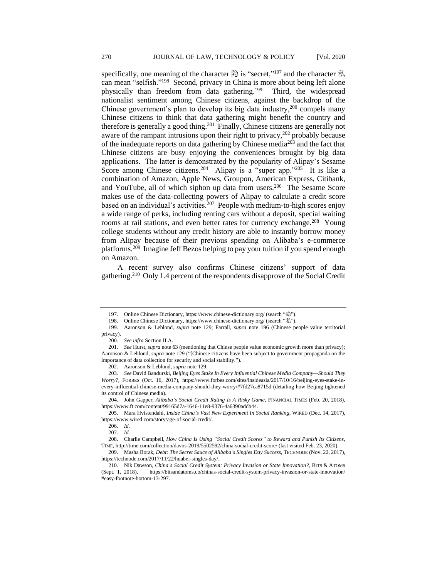specifically, one meaning of the character 隐 is "secret,"<sup>197</sup> and the character 私 can mean "selfish."<sup>198</sup> Second, privacy in China is more about being left alone physically than freedom from data gathering.<sup>199</sup> Third, the widespread nationalist sentiment among Chinese citizens, against the backdrop of the Chinese government's plan to develop its big data industry, $200$  compels many Chinese citizens to think that data gathering might benefit the country and therefore is generally a good thing.<sup>201</sup> Finally, Chinese citizens are generally not aware of the rampant intrusions upon their right to privacy, $202$  probably because of the inadequate reports on data gathering by Chinese media<sup>203</sup> and the fact that Chinese citizens are busy enjoying the conveniences brought by big data applications. The latter is demonstrated by the popularity of Alipay's Sesame Score among Chinese citizens.<sup>204</sup> Alipay is a "super app."<sup>205</sup> It is like a combination of Amazon, Apple News, Groupon, American Express, Citibank, and YouTube, all of which siphon up data from users.<sup>206</sup> The Sesame Score makes use of the data-collecting powers of Alipay to calculate a credit score based on an individual's activities.<sup>207</sup> People with medium-to-high scores enjoy a wide range of perks, including renting cars without a deposit, special waiting rooms at rail stations, and even better rates for currency exchange.<sup>208</sup> Young college students without any credit history are able to instantly borrow money from Alipay because of their previous spending on Alibaba's e-commerce platforms.<sup>209</sup> Imagine Jeff Bezos helping to pay your tuition if you spend enough on Amazon.

A recent survey also confirms Chinese citizens' support of data gathering.<sup>210</sup> Only 1.4 percent of the respondents disapprove of the Social Credit

208. Charlie Campbell, *How China Is Using "Social Credit Scores" to Reward and Punish Its Citizens*, TIME, http://time.com/collection/davos-2019/5502592/china-social-credit-score/ (last visited Feb. 23, 2020).

<sup>197.</sup> Online Chinese Dictionary, https://www.chinese-dictionary.org/ (search "隐").

<sup>198.</sup> Online Chinese Dictionary, https://www.chinese-dictionary.org/ (search "私").

<sup>199.</sup> Aaronson & Leblond, *supra* note 129; Farrall, *supra* note 196 (Chinese people value territorial privacy).

<sup>200</sup>*. See infra* Section II.A.

<sup>201</sup>*. See* Hurst, *supra* note 63 (mentioning that Chinse people value economic growth more than privacy); Aaronson & Leblond, *supra* note 129 ("[Chinese citizens have been subject to government propaganda on the importance of data collection for security and social stability.").

<sup>202.</sup> Aaronson & Leblond, *supra* note 129.

<sup>203</sup>*. See* David Bandurski, *Beijing Eyes Stake In Every Influential Chinese Media Company—Should They Worry?*, FORBES (Oct. 16, 2017), https://www.forbes.com/sites/insideasia/2017/10/16/beijing-eyes-stake-inevery-influential-chinese-media-company-should-they-worry/#7fd27ca8715d (detailing how Beijing tightened its control of Chinese media).

<sup>204.</sup> John Gapper, *Alibaba's Social Credit Rating Is A Risky Game*, FINANCIAL TIMES (Feb. 20, 2018), https://www.ft.com/content/99165d7a-1646-11e8-9376-4a6390addb44.

<sup>205.</sup> Mara Hvistendahl, *Inside China's Vast New Experiment In Social Ranking*, WIRED (Dec. 14, 2017), https://www.wired.com/story/age-of-social-credit/.

<sup>206</sup>*. Id.*

<sup>207</sup>*. Id.*

<sup>209.</sup> Masha Borak, *Debt: The Secret Sauce of Alibaba's Singles Day Success*, TECHNODE (Nov. 22, 2017), https://technode.com/2017/11/22/huabei-singles-day/.

<sup>210.</sup> Nik Dawson, *China's Social Credit System: Privacy Invasion or State Innovation?*, BITS & ATOMS (Sept. 1, 2018), https://bitsandatoms.co/chinas-social-credit-system-privacy-invasion-or-state-innovation/ #easy-footnote-bottom-13-297.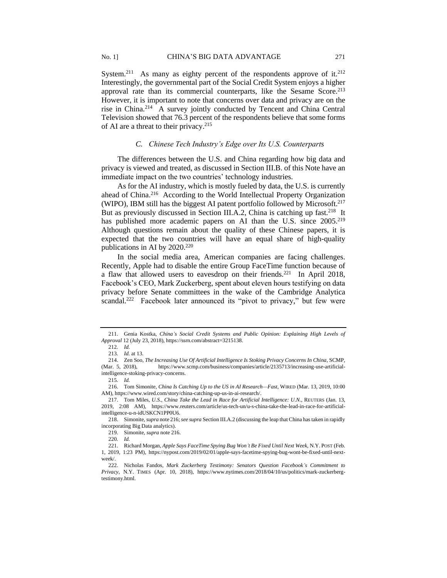System.<sup>211</sup> As many as eighty percent of the respondents approve of it.<sup>212</sup> Interestingly, the governmental part of the Social Credit System enjoys a higher approval rate than its commercial counterparts, like the Sesame Score.<sup>213</sup> However, it is important to note that concerns over data and privacy are on the rise in China.<sup>214</sup> A survey jointly conducted by Tencent and China Central Television showed that 76.3 percent of the respondents believe that some forms of AI are a threat to their privacy.<sup>215</sup>

# *C. Chinese Tech Industry's Edge over Its U.S. Counterparts*

The differences between the U.S. and China regarding how big data and privacy is viewed and treated, as discussed in Section III.B. of this Note have an immediate impact on the two countries' technology industries.

As for the AI industry, which is mostly fueled by data, the U.S. is currently ahead of China.<sup>216</sup> According to the World Intellectual Property Organization (WIPO), IBM still has the biggest AI patent portfolio followed by Microsoft.<sup>217</sup> But as previously discussed in Section III.A.2, China is catching up fast.<sup>218</sup> It has published more academic papers on AI than the U.S. since 2005.<sup>219</sup> Although questions remain about the quality of these Chinese papers, it is expected that the two countries will have an equal share of high-quality publications in AI by 2020.<sup>220</sup>

In the social media area, American companies are facing challenges. Recently, Apple had to disable the entire Group FaceTime function because of a flaw that allowed users to eavesdrop on their friends.<sup>221</sup> In April 2018, Facebook's CEO, Mark Zuckerberg, spent about eleven hours testifying on data privacy before Senate committees in the wake of the Cambridge Analytica scandal.<sup>222</sup> Facebook later announced its "pivot to privacy," but few were

<sup>211.</sup> Genia Kostka, *China's Social Credit Systems and Public Opinion: Explaining High Levels of Approval* 12 (July 23, 2018), https://ssrn.com/abstract=3215138.

<sup>212</sup>*. Id.*

<sup>213</sup>*. Id.* at 13.

<sup>214.</sup> Zen Soo, *The Increasing Use Of Artificial Intelligence Is Stoking Privacy Concerns In China*, SCMP, (Mar. 5, 2018), https://www.scmp.com/business/companies/article/2135713/increasing-use-artificialintelligence-stoking-privacy-concerns.

<sup>215</sup>*. Id.*

<sup>216.</sup> Tom Simonite, *China Is Catching Up to the US in AI Research—Fast*, WIRED (Mar. 13, 2019, 10:00 AM), https://www.wired.com/story/china-catching-up-us-in-ai-research/.

<sup>217.</sup> Tom Miles, *U.S., China Take the Lead in Race for Artificial Intelligence: U.N.*, REUTERS (Jan. 13, 2019, 2:08 AM), https://www.reuters.com/article/us-tech-un/u-s-china-take-the-lead-in-race-for-artificialintelligence-u-n-idUSKCN1PP0U6.

<sup>218.</sup> Simonite, *supra* note 216; *see supra* Section III.A.2 (discussing the leap that China has taken in rapidly incorporating Big Data analytics).

<sup>219.</sup> Simonite, *supra* note 216.

<sup>220</sup>*. Id.*

<sup>221.</sup> Richard Morgan, *Apple Says FaceTime Spying Bug Won't Be Fixed Until Next Week*, N.Y. POST (Feb. 1, 2019, 1:23 PM), https://nypost.com/2019/02/01/apple-says-facetime-spying-bug-wont-be-fixed-until-nextweek/.

<sup>222.</sup> Nicholas Fandos, *Mark Zuckerberg Testimony: Senators Question Facebook's Commitment to Privacy*, N.Y. TIMES (Apr. 10, 2018), https://www.nytimes.com/2018/04/10/us/politics/mark-zuckerbergtestimony.html.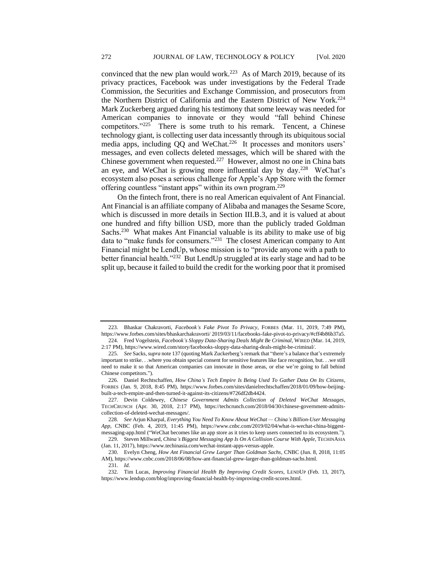convinced that the new plan would work.<sup>223</sup> As of March 2019, because of its privacy practices, Facebook was under investigations by the Federal Trade Commission, the Securities and Exchange Commission, and prosecutors from the Northern District of California and the Eastern District of New York.<sup>224</sup> Mark Zuckerberg argued during his testimony that some leeway was needed for American companies to innovate or they would "fall behind Chinese competitors."<sup>225</sup> There is some truth to his remark. Tencent, a Chinese technology giant, is collecting user data incessantly through its ubiquitous social media apps, including QQ and WeChat.<sup>226</sup> It processes and monitors users' messages, and even collects deleted messages, which will be shared with the Chinese government when requested.<sup>227</sup> However, almost no one in China bats an eye, and WeChat is growing more influential day by day.<sup>228</sup> WeChat's ecosystem also poses a serious challenge for Apple's App Store with the former offering countless "instant apps" within its own program.<sup>229</sup>

On the fintech front, there is no real American equivalent of Ant Financial. Ant Financial is an affiliate company of Alibaba and manages the Sesame Score, which is discussed in more details in Section III.B.3, and it is valued at about one hundred and fifty billion USD, more than the publicly traded Goldman Sachs.<sup>230</sup> What makes Ant Financial valuable is its ability to make use of big data to "make funds for consumers."<sup>231</sup> The closest American company to Ant Financial might be LendUp, whose mission is to "provide anyone with a path to better financial health."<sup>232</sup> But LendUp struggled at its early stage and had to be split up, because it failed to build the credit for the working poor that it promised

227. Devin Coldewey, *Chinese Government Admits Collection of Deleted WeChat Messages*, TECHCRUNCH (Apr. 30, 2018, 2:17 PM), https://techcrunch.com/2018/04/30/chinese-government-admitscollection-of-deleted-wechat-messages/.

229. Steven Millward, *China's Biggest Messaging App Is On A Collision Course With Apple*, TECHINASIA (Jan. 11, 2017), https://www.techinasia.com/wechat-instant-apps-versus-apple.

<sup>223.</sup> Bhaskar Chakravorti, *Facebook's Fake Pivot To Privacy*, FORBES (Mar. 11, 2019, 7:49 PM), https://www.forbes.com/sites/bhaskarchakravorti/ 2019/03/11/facebooks-fake-pivot-to-privacy/#cff4b86b37a5. 224. Fred Vogelstein, *Facebook's Sloppy Data-Sharing Deals Might Be Criminal*, WIRED (Mar. 14, 2019,

<sup>2:17</sup> PM), https://www.wired.com/story/facebooks-sloppy-data-sharing-deals-might-be-criminal/.

<sup>225</sup>*. See* Sacks, *supra* note 137 (quoting Mark Zuckerberg's remark that "there's a balance that's extremely important to strike. . .where you obtain special consent for sensitive features like face recognition, but. . .we still need to make it so that American companies can innovate in those areas, or else we're going to fall behind Chinese competitors.").

<sup>226.</sup> Daniel Rechtschaffen, *How China's Tech Empire Is Being Used To Gather Data On Its Citizens*, FORBES (Jan. 9, 2018, 8:45 PM), https://www.forbes.com/sites/danielrechtschaffen/2018/01/09/how-beijingbuilt-a-tech-empire-and-then-turned-it-against-its-citizens/#726df2db4424.

<sup>228</sup>*. See* Arjun Kharpal, *Everything You Need To Know About WeChat — China's Billion-User Messaging App*, CNBC (Feb. 4, 2019, 11:45 PM), https://www.cnbc.com/2019/02/04/what-is-wechat-china-biggestmessaging-app.html ("WeChat becomes like an app store as it tries to keep users connected to its ecosystem.").

<sup>230.</sup> Evelyn Cheng, *How Ant Financial Grew Larger Than Goldman Sachs*, CNBC (Jun. 8, 2018, 11:05 AM), https://www.cnbc.com/2018/06/08/how-ant-financial-grew-larger-than-goldman-sachs.html.

<sup>231</sup>*. Id.*

<sup>232.</sup> Tim Lucas, *Improving Financial Health By Improving Credit Scores*, LENDUP (Feb. 13, 2017), https://www.lendup.com/blog/improving-financial-health-by-improving-credit-scores.html.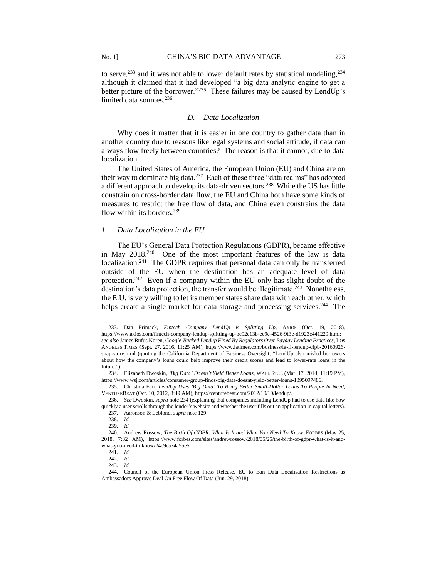to serve,  $233$  and it was not able to lower default rates by statistical modeling,  $234$ although it claimed that it had developed "a big data analytic engine to get a better picture of the borrower."<sup>235</sup> These failures may be caused by LendUp's limited data sources.<sup>236</sup>

#### *D. Data Localization*

Why does it matter that it is easier in one country to gather data than in another country due to reasons like legal systems and social attitude, if data can always flow freely between countries? The reason is that it cannot, due to data localization.

The United States of America, the European Union (EU) and China are on their way to dominate big data.<sup>237</sup> Each of these three "data realms" has adopted a different approach to develop its data-driven sectors.<sup>238</sup> While the US has little constrain on cross-border data flow, the EU and China both have some kinds of measures to restrict the free flow of data, and China even constrains the data flow within its borders.<sup>239</sup>

# *1. Data Localization in the EU*

The EU's General Data Protection Regulations (GDPR), became effective in May 2018.<sup>240</sup> One of the most important features of the law is data localization.<sup>241</sup> The GDPR requires that personal data can only be transferred outside of the EU when the destination has an adequate level of data protection.<sup>242</sup> Even if a company within the EU only has slight doubt of the destination's data protection, the transfer would be illegitimate.<sup>243</sup> Nonetheless, the E.U. is very willing to let its member states share data with each other, which helps create a single market for data storage and processing services.<sup>244</sup> The

<sup>233.</sup> Dan Primack, *Fintech Company LendUp is Splitting Up*, AXIOS (Oct. 19, 2018), https://www.axios.com/fintech-company-lendup-splitting-up-be92e13b-ec9e-4526-9f3e-d1923c441229.html; *see also* James Rufus Koren, *Google-Backed Lendup Fined By Regulators Over Payday Lending Practices*, LOS ANGELES TIMES (Sept. 27, 2016, 11:25 AM), https://www.latimes.com/business/la-fi-lendup-cfpb-20160926 snap-story.html (quoting the California Department of Business Oversight, "LendUp also misled borrowers about how the company's loans could help improve their credit scores and lead to lower-rate loans in the future.").

<sup>234.</sup> Elizabeth Dwoskin, *'Big Data' Doesn't Yield Better Loans*, WALL ST. J. (Mar. 17, 2014, 11:19 PM), https://www.wsj.com/articles/consumer-group-finds-big-data-doesnt-yield-better-loans-1395097486.

<sup>235.</sup> Christina Farr, *LendUp Uses 'Big Data' To Bring Better Small-Dollar Loans To People In Need*, VENTUREBEAT (Oct. 10, 2012, 8:49 AM), https://venturebeat.com/2012/10/10/lendup/.

<sup>236</sup>*. See* Dwoskin, *supra* note 234 (explaining that companies including LendUp had to use data like how quickly a user scrolls through the lender's website and whether the user fills out an application in capital letters).

<sup>237.</sup> Aaronson & Leblond, *supra* note 129. 238*. Id.*

<sup>239</sup>*. Id.*

<sup>240.</sup> Andrew Rossow, *The Birth Of GDPR: What Is It and What You Need To Know*, FORBES (May 25, 2018, 7:32 AM), https://www.forbes.com/sites/andrewrossow/2018/05/25/the-birth-of-gdpr-what-is-it-andwhat-you-need-to know/#4c9ca74a55e5.

<sup>241</sup>*. Id.*

<sup>242</sup>*. Id.*

<sup>243</sup>*. Id.*

<sup>244.</sup> Council of the European Union Press Release, EU to Ban Data Localisation Restrictions as Ambassadors Approve Deal On Free Flow Of Data (Jun. 29, 2018).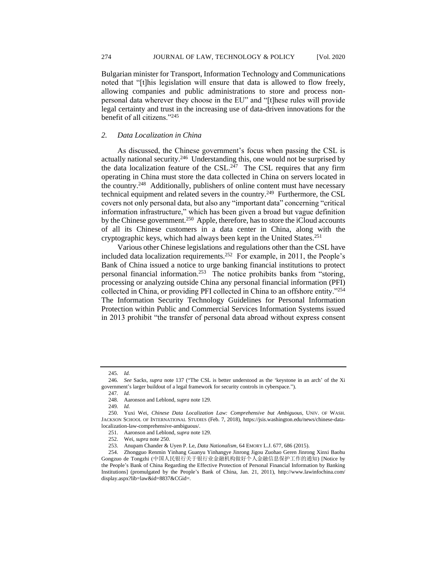Bulgarian minister for Transport, Information Technology and Communications noted that "[t]his legislation will ensure that data is allowed to flow freely, allowing companies and public administrations to store and process nonpersonal data wherever they choose in the EU" and "[t]hese rules will provide legal certainty and trust in the increasing use of data-driven innovations for the benefit of all citizens."<sup>245</sup>

#### *2. Data Localization in China*

As discussed, the Chinese government's focus when passing the CSL is actually national security.<sup>246</sup> Understanding this, one would not be surprised by the data localization feature of the CSL.<sup>247</sup> The CSL requires that any firm operating in China must store the data collected in China on servers located in the country.<sup>248</sup> Additionally, publishers of online content must have necessary technical equipment and related severs in the country.<sup>249</sup> Furthermore, the CSL covers not only personal data, but also any "important data" concerning "critical information infrastructure," which has been given a broad but vague definition by the Chinese government.<sup>250</sup> Apple, therefore, has to store the iCloud accounts of all its Chinese customers in a data center in China, along with the cryptographic keys, which had always been kept in the United States.<sup>251</sup>

Various other Chinese legislations and regulations other than the CSL have included data localization requirements.<sup>252</sup> For example, in 2011, the People's Bank of China issued a notice to urge banking financial institutions to protect personal financial information.<sup>253</sup> The notice prohibits banks from "storing, processing or analyzing outside China any personal financial information (PFI) collected in China, or providing PFI collected in China to an offshore entity."<sup>254</sup> The Information Security Technology Guidelines for Personal Information Protection within Public and Commercial Services Information Systems issued in 2013 prohibit "the transfer of personal data abroad without express consent

<sup>245</sup>*. Id.*

<sup>246</sup>*. See* Sacks, *supra* note 137 ("The CSL is better understood as the 'keystone in an arch' of the Xi government's larger buildout of a legal framework for security controls in cyberspace.").

<sup>247</sup>*. Id.*

<sup>248.</sup> Aaronson and Leblond, *supra* note 129.

<sup>249</sup>*. Id.*

<sup>250.</sup> Yuxi Wei, *Chinese Data Localization Law: Comprehensive but Ambiguous*, UNIV. OF WASH. JACKSON SCHOOL OF INTERNATIONAL STUDIES (Feb. 7, 2018), https://jsis.washington.edu/news/chinese-datalocalization-law-comprehensive-ambiguous/.

<sup>251.</sup> Aaronson and Leblond, *supra* note 129.

<sup>252.</sup> Wei, *supra* note 250.

<sup>253.</sup> Anupam Chander & Uyen P. Le, *Data Nationalism*, 64 EMORY L.J. 677, 686 (2015).

<sup>254.</sup> Zhongguo Renmin Yinhang Guanyu Yinhangye Jinrong Jigou Zuohao Geren Jinrong Xinxi Baohu Gongzuo de Tongzhi (中国人民银行关于银行业金融机构做好个人金融信息保护工作的通知) [Notice by the People's Bank of China Regarding the Effective Protection of Personal Financial Information by Banking Institutions] (promulgated by the People's Bank of China, Jan. 21, 2011), http://www.lawinfochina.com/ display.aspx?lib=law&id=8837&CGid=.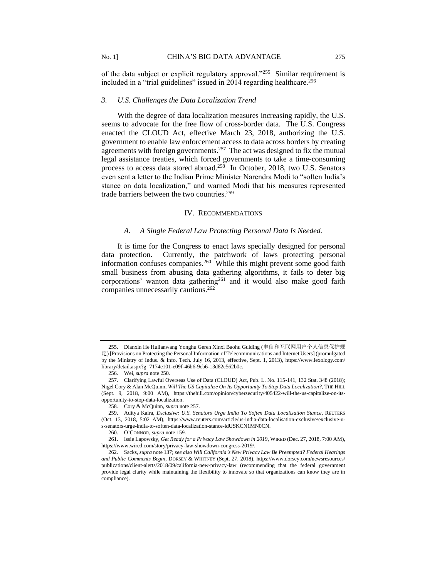of the data subject or explicit regulatory approval."<sup>255</sup> Similar requirement is included in a "trial guidelines" issued in 2014 regarding healthcare.<sup>256</sup>

## *3. U.S. Challenges the Data Localization Trend*

With the degree of data localization measures increasing rapidly, the U.S. seems to advocate for the free flow of cross-border data. The U.S. Congress enacted the CLOUD Act, effective March 23, 2018, authorizing the U.S. government to enable law enforcement access to data across borders by creating agreements with foreign governments.<sup>257</sup> The act was designed to fix the mutual legal assistance treaties, which forced governments to take a time-consuming process to access data stored abroad.<sup>258</sup> In October, 2018, two U.S. Senators even sent a letter to the Indian Prime Minister Narendra Modi to "soften India's stance on data localization," and warned Modi that his measures represented trade barriers between the two countries.<sup>259</sup>

# IV. RECOMMENDATIONS

## *A. A Single Federal Law Protecting Personal Data Is Needed.*

It is time for the Congress to enact laws specially designed for personal data protection. Currently, the patchwork of laws protecting personal information confuses companies.<sup>260</sup> While this might prevent some good faith small business from abusing data gathering algorithms, it fails to deter big corporations' wanton data gathering<sup>261</sup> and it would also make good faith companies unnecessarily cautious.<sup>262</sup>

<sup>255.</sup> Dianxin He Hulianwang Yonghu Geren Xinxi Baohu Guiding (电信和互联网用户个人信息保护规 定) [Provisions on Protecting the Personal Information of Telecommunications and Internet Users] (promulgated by the Ministry of Indus. & Info. Tech. July 16, 2013, effective, Sept. 1, 2013), https://www.lexology.com/ library/detail.aspx?g=7174e101-e09f-46b6-9cb6-13d82c562b0c.

<sup>256.</sup> Wei, *supra* note 250.

<sup>257.</sup> Clarifying Lawful Overseas Use of Data (CLOUD) Act, Pub. L. No. 115-141, 132 Stat. 348 (2018); Nigel Cory & Alan McQuinn, *Will The US Capitalize On Its Opportunity To Stop Data Localization?*, THE HILL (Sept. 9, 2018, 9:00 AM), https://thehill.com/opinion/cybersecurity/405422-will-the-us-capitalize-on-itsopportunity-to-stop-data-localization.

<sup>258.</sup> Cory & McQuinn, *supra* note 257.

<sup>259.</sup> Aditya Kalra, *Exclusive: U.S. Senators Urge India To Soften Data Localization Stance*, REUTERS (Oct. 13, 2018, 5:02 AM), https://www.reuters.com/article/us-india-data-localisation-exclusive/exclusive-us-senators-urge-india-to-soften-data-localization-stance-idUSKCN1MN0CN.

<sup>260.</sup> O'CONNOR, *supra* note 159.

<sup>261.</sup> Issie Lapowsky, *Get Ready for a Privacy Law Showdown in 2019*, WIRED (Dec. 27, 2018, 7:00 AM), https://www.wired.com/story/privacy-law-showdown-congress-2019/.

<sup>262.</sup> Sacks, *supra* note 137; *see also Will California's New Privacy Law Be Preempted? Federal Hearings and Public Comments Begin*, DORSEY & WHITNEY (Sept. 27, 2018), https://www.dorsey.com/newsresources/ publications/client-alerts/2018/09/california-new-privacy-law (recommending that the federal government provide legal clarity while maintaining the flexibility to innovate so that organizations can know they are in compliance).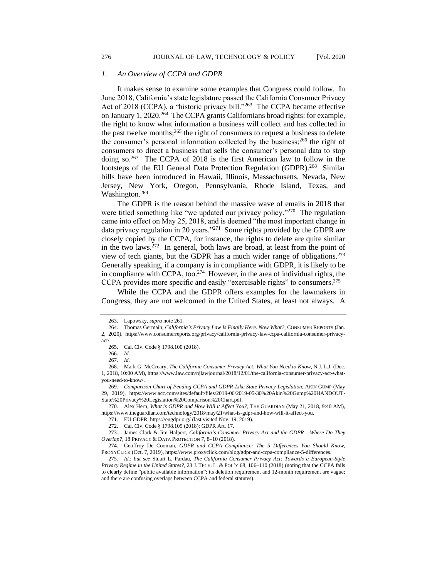It makes sense to examine some examples that Congress could follow. In June 2018, California's state legislature passed the California Consumer Privacy Act of 2018 (CCPA), a "historic privacy bill."<sup>263</sup> The CCPA became effective on January 1, 2020.<sup>264</sup> The CCPA grants Californians broad rights: for example, the right to know what information a business will collect and has collected in the past twelve months;<sup>265</sup> the right of consumers to request a business to delete the consumer's personal information collected by the business;<sup>266</sup> the right of consumers to direct a business that sells the consumer's personal data to stop doing so.<sup>267</sup> The CCPA of 2018 is the first American law to follow in the footsteps of the EU General Data Protection Regulation (GDPR).<sup>268</sup> Similar bills have been introduced in Hawaii, Illinois, Massachusetts, Nevada, New Jersey, New York, Oregon, Pennsylvania, Rhode Island, Texas, and Washington.<sup>269</sup>

The GDPR is the reason behind the massive wave of emails in 2018 that were titled something like "we updated our privacy policy."<sup>270</sup> The regulation came into effect on May 25, 2018, and is deemed "the most important change in data privacy regulation in 20 years."<sup>271</sup> Some rights provided by the GDPR are closely copied by the CCPA, for instance, the rights to delete are quite similar in the two laws.<sup>272</sup> In general, both laws are broad, at least from the point of view of tech giants, but the GDPR has a much wider range of obligations.<sup>273</sup> Generally speaking, if a company is in compliance with GDPR, it is likely to be in compliance with CCPA, too.<sup>274</sup> However, in the area of individual rights, the CCPA provides more specific and easily "exercisable rights" to consumers.<sup>275</sup>

While the CCPA and the GDPR offers examples for the lawmakers in Congress, they are not welcomed in the United States, at least not always. A

270. Alex Hern, *What is GDPR and How Will it Affect You?*, THE GUARDIAN (May 21, 2018, 9:40 AM), https://www.theguardian.com/technology/2018/may/21/what-is-gdpr-and-how-will-it-affect-you.

<sup>263.</sup> Lapowsky, *supra* note 261.

<sup>264.</sup> Thomas Germain, *California's Privacy Law Is Finally Here. Now What?*, CONSUMER REPORTS (Jan. 2, 2020), https://www.consumerreports.org/privacy/california-privacy-law-ccpa-california-consumer-privacyact/.

<sup>265.</sup> Cal. Civ. Code § 1798.100 (2018).

<sup>266</sup>*. Id.*

<sup>267</sup>*. Id.*

<sup>268.</sup> Mark G. McCreary, *The California Consumer Privacy Act: What You Need to Know*, N.J. L.J. (Dec. 1, 2018, 10:00 AM), https://www.law.com/njlawjournal/2018/12/01/the-california-consumer-privacy-act-whatyou-need-to-know/.

<sup>269</sup>*. Comparison Chart of Pending CCPA and GDPR-Like State Privacy Legislation*, AKIN GUMP (May 29, 2019), https://www.acc.com/sites/default/files/2019-06/2019-05-30%20Akin%20Gump%20HANDOUT-State%20Privacy%20Legislation%20Comparison%20Chart.pdf.

<sup>271.</sup> EU GDPR, https://eugdpr.org/ (last visited Nov. 19, 2019).

<sup>272.</sup> Cal. Civ. Code § 1798.105 (2018); GDPR Art. 17.

<sup>273.</sup> James Clark & Jim Halpert, *California's Consumer Privacy Act and the GDPR - Where Do They Overlap?*, 18 PRIVACY & DATA PROTECTION 7, 8–10 (2018).

<sup>274.</sup> Geoffroy De Cooman, *GDPR and CCPA Compliance: The 5 Differences You Should Know*, PROXYCLICK (Oct. 7, 2019), https://www.proxyclick.com/blog/gdpr-and-ccpa-compliance-5-differences.

<sup>275</sup>*. Id.*; *but see* Stuart L. Pardau, *The California Consumer Privacy Act: Towards a European-Style Privacy Regime in the United States?*, 23 J. TECH. L. & POL'Y 68, 106–110 (2018) (noting that the CCPA fails to clearly define "public available information"; its deletion requirement and 12-month requirement are vague; and there are confusing overlaps between CCPA and federal statutes).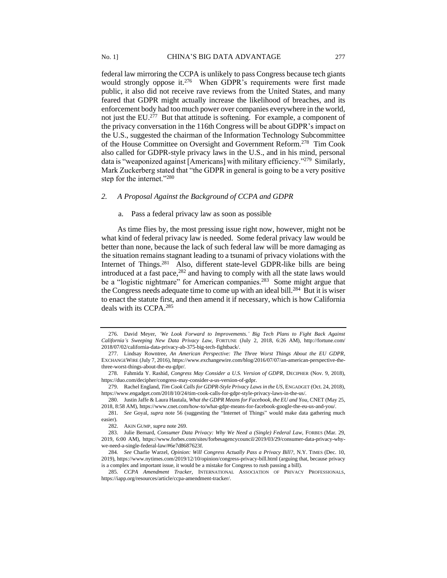federal law mirroring the CCPA is unlikely to pass Congress because tech giants would strongly oppose it.<sup>276</sup> When GDPR's requirements were first made public, it also did not receive rave reviews from the United States, and many feared that GDPR might actually increase the likelihood of breaches, and its enforcement body had too much power over companies everywhere in the world, not just the EU.<sup>277</sup> But that attitude is softening. For example, a component of the privacy conversation in the 116th Congress will be about GDPR's impact on the U.S., suggested the chairman of the Information Technology Subcommittee of the House Committee on Oversight and Government Reform.<sup>278</sup> Tim Cook also called for GDPR-style privacy laws in the U.S., and in his mind, personal data is "weaponized against [Americans] with military efficiency."<sup>279</sup> Similarly, Mark Zuckerberg stated that "the GDPR in general is going to be a very positive step for the internet."<sup>280</sup>

# *2. A Proposal Against the Background of CCPA and GDPR*

#### a. Pass a federal privacy law as soon as possible

As time flies by, the most pressing issue right now, however, might not be what kind of federal privacy law is needed. Some federal privacy law would be better than none, because the lack of such federal law will be more damaging as the situation remains stagnant leading to a tsunami of privacy violations with the Internet of Things.<sup>281</sup> Also, different state-level GDPR-like bills are being introduced at a fast pace,<sup>282</sup> and having to comply with all the state laws would be a "logistic nightmare" for American companies.<sup>283</sup> Some might argue that the Congress needs adequate time to come up with an ideal bill.<sup>284</sup> But it is wiser to enact the statute first, and then amend it if necessary, which is how California deals with its CCPA.<sup>285</sup>

<sup>276.</sup> David Meyer, *'We Look Forward to Improvements.' Big Tech Plans to Fight Back Against California's Sweeping New Data Privacy Law*, FORTUNE (July 2, 2018, 6:26 AM), http://fortune.com/ 2018/07/02/california-data-privacy-ab-375-big-tech-fightback/.

<sup>277.</sup> Lindsay Rowntree, *An American Perspective: The Three Worst Things About the EU GDPR*, EXCHANGEWIRE (July 7, 2016), https://www.exchangewire.com/blog/2016/07/07/an-american-perspective-thethree-worst-things-about-the-eu-gdpr/.

<sup>278.</sup> Fahmida Y. Rashid*, Congress May Consider a U.S. Version of GDPR*, DECIPHER (Nov. 9, 2018), https://duo.com/decipher/congress-may-consider-a-us-version-of-gdpr.

<sup>279.</sup> Rachel England, *Tim Cook Calls for GDPR-Style Privacy Laws in the US*, ENGADGET (Oct. 24, 2018), https://www.engadget.com/2018/10/24/tim-cook-calls-for-gdpr-style-privacy-laws-in-the-us/.

<sup>280.</sup> Justin Jaffe & Laura Hautala, *What the GDPR Means for Facebook, the EU and You*, CNET (May 25, 2018, 8:58 AM), https://www.cnet.com/how-to/what-gdpr-means-for-facebook-google-the-eu-us-and-you/.

<sup>281</sup>*. See* Goyal, *supra* note 56 (suggesting the "Internet of Things" would make data gathering much easier).

<sup>282.</sup> AKIN GUMP, *supra* note 269.

<sup>283.</sup> Julie Bernard, *Consumer Data Privacy: Why We Need a (Single) Federal Law*, FORBES (Mar. 29, 2019, 6:00 AM), https://www.forbes.com/sites/forbesagencycouncil/2019/03/29/consumer-data-privacy-whywe-need-a-single-federal-law/#6e7d8687623f.

<sup>284</sup>*. See* Charlie Warzel, *Opinion: Will Congress Actually Pass a Privacy Bill?*, N.Y. TIMES (Dec. 10, 2019), https://www.nytimes.com/2019/12/10/opinion/congress-privacy-bill.html (arguing that, because privacy is a complex and important issue, it would be a mistake for Congress to rush passing a bill).

<sup>285</sup>*. CCPA Amendment Tracker*, INTERNATIONAL ASSOCIATION OF PRIVACY PROFESSIONALS, https://iapp.org/resources/article/ccpa-amendment-tracker/.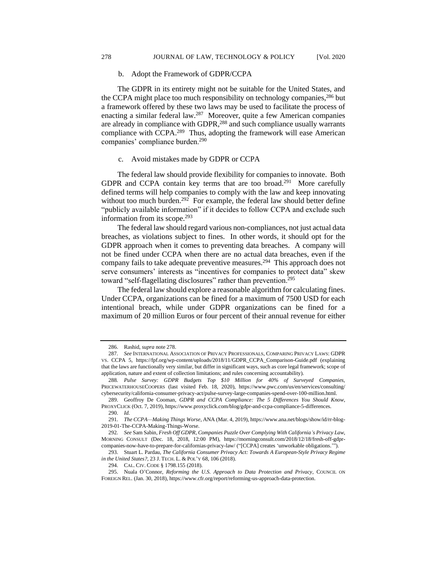#### b. Adopt the Framework of GDPR/CCPA

The GDPR in its entirety might not be suitable for the United States, and the CCPA might place too much responsibility on technology companies,<sup>286</sup> but a framework offered by these two laws may be used to facilitate the process of enacting a similar federal law.<sup>287</sup> Moreover, quite a few American companies are already in compliance with GDPR,<sup>288</sup> and such compliance usually warrants compliance with CCPA.<sup>289</sup> Thus, adopting the framework will ease American companies' compliance burden.<sup>290</sup>

#### c. Avoid mistakes made by GDPR or CCPA

The federal law should provide flexibility for companies to innovate. Both GDPR and CCPA contain key terms that are too broad.<sup>291</sup> More carefully defined terms will help companies to comply with the law and keep innovating without too much burden.<sup>292</sup> For example, the federal law should better define "publicly available information" if it decides to follow CCPA and exclude such information from its scope.<sup>293</sup>

The federal law should regard various non-compliances, not just actual data breaches, as violations subject to fines. In other words, it should opt for the GDPR approach when it comes to preventing data breaches. A company will not be fined under CCPA when there are no actual data breaches, even if the company fails to take adequate preventive measures.<sup>294</sup> This approach does not serve consumers' interests as "incentives for companies to protect data" skew toward "self-flagellating disclosures" rather than prevention.<sup>295</sup>

The federal law should explore a reasonable algorithm for calculating fines. Under CCPA, organizations can be fined for a maximum of 7500 USD for each intentional breach, while under GDPR organizations can be fined for a maximum of 20 million Euros or four percent of their annual revenue for either

<sup>286.</sup> Rashid, *supra* note 278.

<sup>287</sup>*. See* INTERNATIONAL ASSOCIATION OF PRIVACY PROFESSIONALS, COMPARING PRIVACY LAWS: GDPR VS. CCPA 5, https://fpf.org/wp-content/uploads/2018/11/GDPR\_CCPA\_Comparison-Guide.pdf (explaining that the laws are functionally very similar, but differ in significant ways, such as core legal framework; scope of application, nature and extent of collection limitations; and rules concerning accountability).

<sup>288</sup>*. Pulse Survey: GDPR Budgets Top \$10 Million for 40% of Surveyed Companies,* PRICEWATERHOUSECOOPERS (last visited Feb. 18, 2020), https://www.pwc.com/us/en/services/consulting/ cybersecurity/california-consumer-privacy-act/pulse-survey-large-companies-spend-over-100-million.html.

<sup>289.</sup> Geoffroy De Cooman, *GDPR and CCPA Compliance: The 5 Differences You Should Know*, PROXYCLICK (Oct. 7, 2019), https://www.proxyclick.com/blog/gdpr-and-ccpa-compliance-5-differences. 290. *Id.*

<sup>291</sup>*. The CCPA—Making Things Worse*, ANA (Mar. 4, 2019), https://www.ana.net/blogs/show/id/rr-blog-2019-01-The-CCPA-Making-Things-Worse.

<sup>292</sup>*. See* Sam Sabin*, Fresh Off GDPR, Companies Puzzle Over Complying With California's Privacy Law*, MORNING CONSULT (Dec. 18, 2018, 12:00 PM), https://morningconsult.com/2018/12/18/fresh-off-gdprcompanies-now-have-to-prepare-for-californias-privacy-law/ ("[CCPA] creates 'unworkable obligations.'").

<sup>293.</sup> Stuart L. Pardau, *The California Consumer Privacy Act: Towards A European-Style Privacy Regime in the United States?*, 23 J. TECH. L. & POL'Y 68, 106 (2018).

<sup>294.</sup> CAL. CIV. CODE § 1798.155 (2018).

<sup>295.</sup> Nuala O'Connor, *Reforming the U.S. Approach to Data Protection and Privacy*, COUNCIL ON FOREIGN REL. (Jan. 30, 2018), https://www.cfr.org/report/reforming-us-approach-data-protection.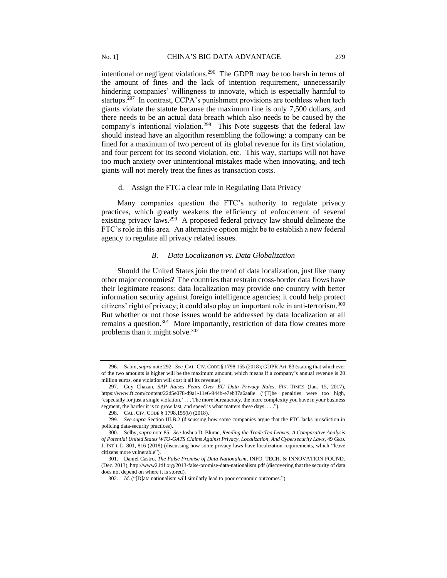intentional or negligent violations.<sup>296</sup> The GDPR may be too harsh in terms of the amount of fines and the lack of intention requirement, unnecessarily hindering companies' willingness to innovate, which is especially harmful to startups.<sup>297</sup> In contrast, CCPA's punishment provisions are toothless when tech giants violate the statute because the maximum fine is only 7,500 dollars, and there needs to be an actual data breach which also needs to be caused by the company's intentional violation.<sup>298</sup> This Note suggests that the federal law should instead have an algorithm resembling the following: a company can be fined for a maximum of two percent of its global revenue for its first violation, and four percent for its second violation, etc. This way, startups will not have too much anxiety over unintentional mistakes made when innovating, and tech giants will not merely treat the fines as transaction costs.

# d. Assign the FTC a clear role in Regulating Data Privacy

Many companies question the FTC's authority to regulate privacy practices, which greatly weakens the efficiency of enforcement of several existing privacy laws.<sup>299</sup> A proposed federal privacy law should delineate the FTC's role in this area. An alternative option might be to establish a new federal agency to regulate all privacy related issues.

#### *B. Data Localization vs. Data Globalization*

Should the United States join the trend of data localization, just like many other major economies? The countries that restrain cross-border data flows have their legitimate reasons: data localization may provide one country with better information security against foreign intelligence agencies; it could help protect citizens' right of privacy; it could also play an important role in anti-terrorism.<sup>300</sup> But whether or not those issues would be addressed by data localization at all remains a question.<sup>301</sup> More importantly, restriction of data flow creates more problems than it might solve.<sup>302</sup>

<sup>296.</sup> Sabin, *supra* note 292. *See* CAL.CIV.CODE § 1798.155 (2018); GDPR Art. 83 (stating that whichever of the two amounts is higher will be the maximum amount, which means if a company's annual revenue is 20 million euros, one violation will cost it all its revenue).

<sup>297.</sup> Guy Chazan, *SAP Raises Fears Over EU Data Privacy Rules*, FIN. TIMES (Jan. 15, 2017), https://www.ft.com/content/22d5e078-d9a1-11e6-944b-e7eb37a6aa8e ("[T]he penalties were too high, 'especially for just a single violation.' . . . The more bureaucracy, the more complexity you have in your business segment, the harder it is to grow fast, and speed is what matters these days. . . .").

<sup>298.</sup> CAL. CIV. CODE § 1798.155(b) (2018).

<sup>299</sup>*. See supra* Section III.B.2 (discussing how some companies argue that the FTC lacks jurisdiction in policing data-security practices).

<sup>300.</sup> Selby, *supra* note 85. *See* Joshua D. Blume, *Reading the Trade Tea Leaves: A Comparative Analysis of Potential United States WTO-GATS Claims Against Privacy, Localization, And Cybersecurity Laws*, 49 GEO. J. INT'L L. 801, 816 (2018) (discussing how some privacy laws have localization requirements, which "leave citizens more vulnerable").

<sup>301.</sup> Daniel Castro, *The False Promise of Data Nationalism*, INFO. TECH. & INNOVATION FOUND. (Dec. 2013), http://www2.itif.org/2013-false-promise-data-nationalism.pdf (discovering that the security of data does not depend on where it is stored).

<sup>302.</sup> *Id*. ("[D]ata nationalism will similarly lead to poor economic outcomes.").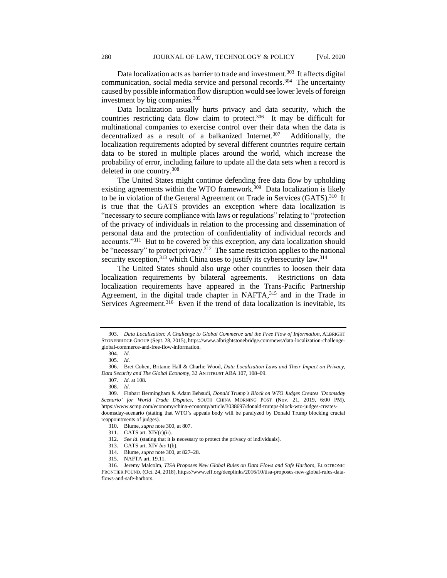Data localization acts as barrier to trade and investment.<sup>303</sup> It affects digital communication, social media service and personal records.<sup>304</sup> The uncertainty caused by possible information flow disruption would see lower levels of foreign investment by big companies.<sup>305</sup>

Data localization usually hurts privacy and data security, which the countries restricting data flow claim to protect.<sup>306</sup> It may be difficult for multinational companies to exercise control over their data when the data is decentralized as a result of a balkanized Internet.<sup>307</sup> Additionally, the localization requirements adopted by several different countries require certain data to be stored in multiple places around the world, which increase the probability of error, including failure to update all the data sets when a record is deleted in one country.<sup>308</sup>

The United States might continue defending free data flow by upholding existing agreements within the WTO framework.<sup>309</sup> Data localization is likely to be in violation of the General Agreement on Trade in Services (GATS).<sup>310</sup> It is true that the GATS provides an exception where data localization is "necessary to secure compliance with laws or regulations" relating to "protection of the privacy of individuals in relation to the processing and dissemination of personal data and the protection of confidentiality of individual records and accounts."<sup>311</sup> But to be covered by this exception, any data localization should be "necessary" to protect privacy.<sup>312</sup> The same restriction applies to the national security exception,<sup>313</sup> which China uses to justify its cybersecurity law.<sup>314</sup>

The United States should also urge other countries to loosen their data localization requirements by bilateral agreements. Restrictions on data localization requirements have appeared in the Trans-Pacific Partnership Agreement, in the digital trade chapter in NAFTA,<sup>315</sup> and in the Trade in Services Agreement.<sup>316</sup> Even if the trend of data localization is inevitable, its

<sup>303</sup>*. Data Localization: A Challenge to Global Commerce and the Free Flow of Information*, ALBRIGHT STONEBRIDGE GROUP (Sept. 28, 2015), https://www.albrightstonebridge.com/news/data-localization-challengeglobal-commerce-and-free-flow-information.

<sup>304</sup>*. Id.*

<sup>305</sup>*. Id.*

<sup>306.</sup> Bret Cohen, Britanie Hall & Charlie Wood, *Data Localization Laws and Their Impact on Privacy, Data Security and The Global Economy*, 32 ANTITRUST ABA 107, 108–09.

<sup>307</sup>*. Id.* at 108.

<sup>308</sup>*. Id.*

<sup>309.</sup> Finbarr Bermingham & Adam Behsudi, *Donald Trump's Block on WTO Judges Creates 'Doomsday Scenario' for World Trade Disputes*, SOUTH CHINA MORNING POST (Nov. 21, 2019, 6:00 PM), https://www.scmp.com/economy/china-economy/article/3038697/donald-trumps-block-wto-judges-createsdoomsday-scenario (stating that WTO's appeals body will be paralyzed by Donald Trump blocking crucial reappointments of judges).

<sup>310.</sup> Blume, *supra* note 300, at 807.

<sup>311.</sup> GATS art. XIV(c)(ii).

<sup>312.</sup> *See id*. (stating that it is necessary to protect the privacy of individuals).

<sup>313.</sup> GATS art. XIV *bis* 1(b).

<sup>314.</sup> Blume, *supra* note 300, at 827–28.

<sup>315.</sup> NAFTA art. 19.11.

<sup>316.</sup> Jeremy Malcolm, *TISA Proposes New Global Rules on Data Flows and Safe Harbors*, ELECTRONIC FRONTIER FOUND. (Oct. 24, 2018), https://www.eff.org/deeplinks/2016/10/tisa-proposes-new-global-rules-dataflows-and-safe-harbors.